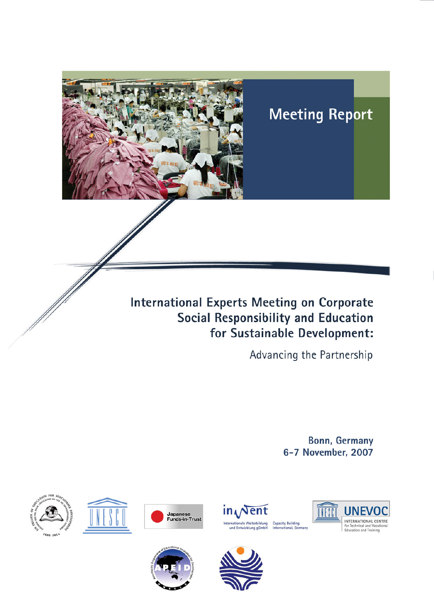

# **Meeting Report**

# **International Experts Meeting on Corporate** Social Responsibility and Education for Sustainable Development:

Advancing the Partnership

**Bonn, Germany** 6-7 November, 2007













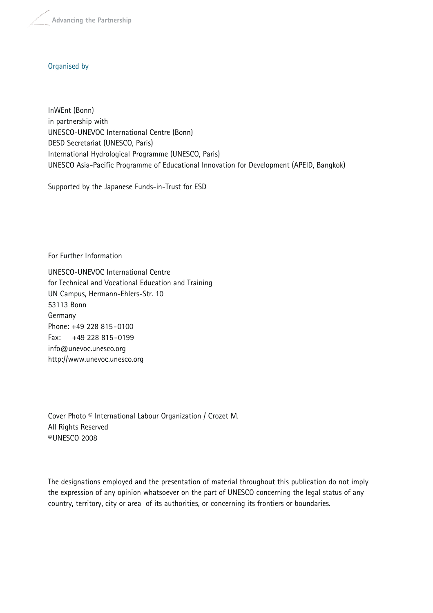**Advancing the Partnership**

#### Organised by

InWEnt (Bonn) in partnership with UNESCO-UNEVOC International Centre (Bonn) DESD Secretariat (UNESCO, Paris) International Hydrological Programme (UNESCO, Paris) UNESCO Asia-Pacific Programme of Educational Innovation for Development (APEID, Bangkok)

Supported by the Japanese Funds-in-Trust for ESD

For Further Information

UNESCO-UNEVOC International Centre for Technical and Vocational Education and Training UN Campus, Hermann-Ehlers-Str. 10 53113 Bonn Germany Phone: +49 228 815-0100 Fax: +49 228 815-0199 info@unevoc.unesco.org http://www.unevoc.unesco.org

Cover Photo © International Labour Organization / Crozet M. All Rights Reserved ©UNESCO 2008

The designations employed and the presentation of material throughout this publication do not imply the expression of any opinion whatsoever on the part of UNESCO concerning the legal status of any country, territory, city or area of its authorities, or concerning its frontiers or boundaries.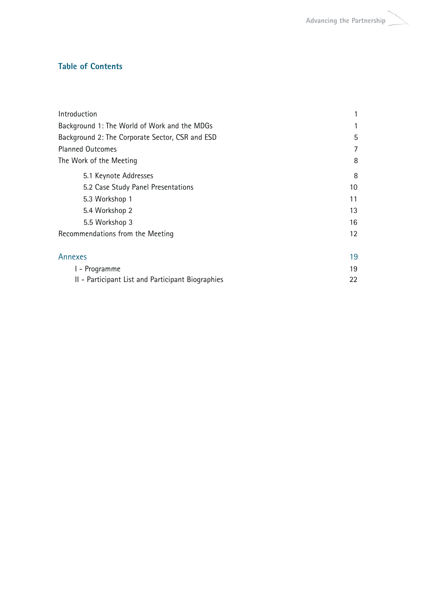#### **Table of Contents**

| Introduction                                      |    |
|---------------------------------------------------|----|
| Background 1: The World of Work and the MDGs      |    |
| Background 2: The Corporate Sector, CSR and ESD   | 5  |
| <b>Planned Outcomes</b>                           | 7  |
| The Work of the Meeting                           | 8  |
| 5.1 Keynote Addresses                             | 8  |
| 5.2 Case Study Panel Presentations                | 10 |
| 5.3 Workshop 1                                    | 11 |
| 5.4 Workshop 2                                    | 13 |
| 5.5 Workshop 3                                    | 16 |
| Recommendations from the Meeting                  | 12 |
| Annexes                                           | 19 |
| I - Programme                                     | 19 |
| II - Participant List and Participant Biographies | 22 |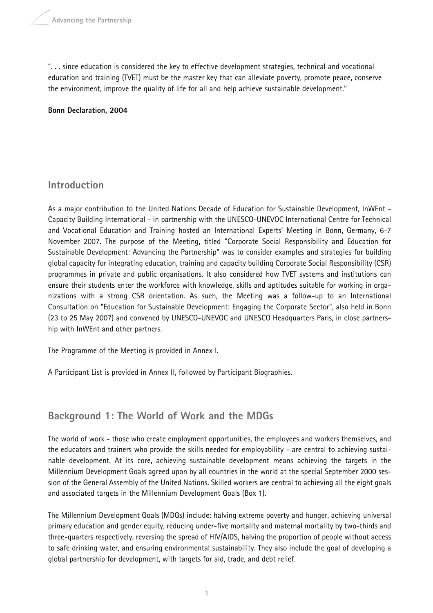". . . since education is considered the key to effective development strategies, technical and vocational education and training (TVET) must be the master key that can alleviate poverty, promote peace, conserve the environment, improve the quality of life for all and help achieve sustainable development."

**Bonn Declaration, 2004**

# **Introduction**

As a major contribution to the United Nations Decade of Education for Sustainable Development, InWEnt - Capacity Building International - in partnership with the UNESCO-UNEVOC International Centre for Technical and Vocational Education and Training hosted an International Experts' Meeting in Bonn, Germany, 6-7 November 2007. The purpose of the Meeting, titled "Corporate Social Responsibility and Education for Sustainable Development: Advancing the Partnership" was to consider examples and strategies for building global capacity for integrating education, training and capacity building Corporate Social Responsibility (CSR) programmes in private and public organisations. It also considered how TVET systems and institutions can ensure their students enter the workforce with knowledge, skills and aptitudes suitable for working in organizations with a strong CSR orientation. As such, the Meeting was a follow-up to an International Consultation on "Education for Sustainable Development: Engaging the Corporate Sector", also held in Bonn (23 to 25 May 2007) and convened by UNESCO-UNEVOC and UNESCO Headquarters Paris, in close partnership with InWEnt and other partners.

The Programme of the Meeting is provided in Annex I.

A Participant List is provided in Annex II, followed by Participant Biographies.

# **Background 1: The World of Work and the MDGs**

The world of work - those who create employment opportunities, the employees and workers themselves, and the educators and trainers who provide the skills needed for employability - are central to achieving sustainable development. At its core, achieving sustainable development means achieving the targets in the Millennium Development Goals agreed upon by all countries in the world at the special September 2000 session of the General Assembly of the United Nations. Skilled workers are central to achieving all the eight goals and associated targets in the Millennium Development Goals (Box 1).

The Millennium Development Goals (MDGs) include: halving extreme poverty and hunger, achieving universal primary education and gender equity, reducing under-five mortality and maternal mortality by two-thirds and three-quarters respectively, reversing the spread of HIV/AIDS, halving the proportion of people without access to safe drinking water, and ensuring environmental sustainability. They also include the goal of developing a global partnership for development, with targets for aid, trade, and debt relief.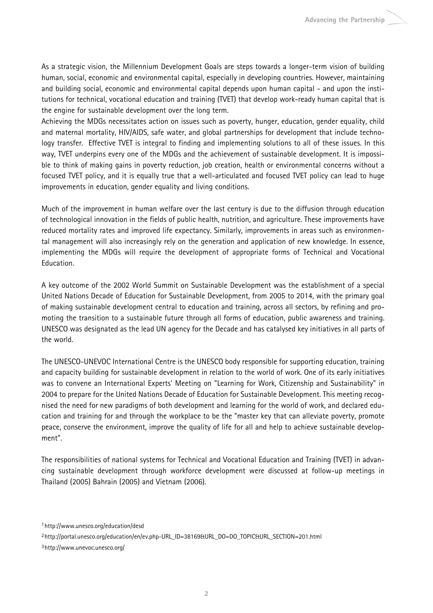As a strategic vision, the Millennium Development Goals are steps towards a longer-term vision of building human, social, economic and environmental capital, especially in developing countries. However, maintaining and building social, economic and environmental capital depends upon human capital - and upon the institutions for technical, vocational education and training (TVET) that develop work-ready human capital that is the engine for sustainable development over the long term.

Achieving the MDGs necessitates action on issues such as poverty, hunger, education, gender equality, child and maternal mortality, HIV/AIDS, safe water, and global partnerships for development that include technology transfer. Effective TVET is integral to finding and implementing solutions to all of these issues. In this way, TVET underpins every one of the MDGs and the achievement of sustainable development. It is impossible to think of making gains in poverty reduction, job creation, health or environmental concerns without a focused TVET policy, and it is equally true that a well-articulated and focused TVET policy can lead to huge improvements in education, gender equality and living conditions.

Much of the improvement in human welfare over the last century is due to the diffusion through education of technological innovation in the fields of public health, nutrition, and agriculture. These improvements have reduced mortality rates and improved life expectancy. Similarly, improvements in areas such as environmental management will also increasingly rely on the generation and application of new knowledge. In essence, implementing the MDGs will require the development of appropriate forms of Technical and Vocational Education.

A key outcome of the 2002 World Summit on Sustainable Development was the establishment of a special United Nations Decade of Education for Sustainable Development, from 2005 to 2014, with the primary goal of making sustainable development central to education and training, across all sectors, by refining and promoting the transition to a sustainable future through all forms of education, public awareness and training. UNESCO was designated as the lead UN agency for the Decade and has catalysed key initiatives in all parts of the world.

The UNESCO-UNEVOC International Centre is the UNESCO body responsible for supporting education, training and capacity building for sustainable development in relation to the world of work. One of its early initiatives was to convene an International Experts' Meeting on "Learning for Work, Citizenship and Sustainability" in 2004 to prepare for the United Nations Decade of Education for Sustainable Development. This meeting recognised the need for new paradigms of both development and learning for the world of work, and declared education and training for and through the workplace to be the "master key that can alleviate poverty, promote peace, conserve the environment, improve the quality of life for all and help to achieve sustainable development".

The responsibilities of national systems for Technical and Vocational Education and Training (TVET) in advancing sustainable development through workforce development were discussed at follow-up meetings in Thailand (2005) Bahrain (2005) and Vietnam (2006).

2http://portal.unesco.org/education/en/ev.php-URL\_ID=38169&URL\_DO=DO\_TOPIC&URL\_SECTION=201.html

<sup>1</sup>http://www.unesco.org/education/desd

<sup>3</sup>http://www.unevoc.unesco.org/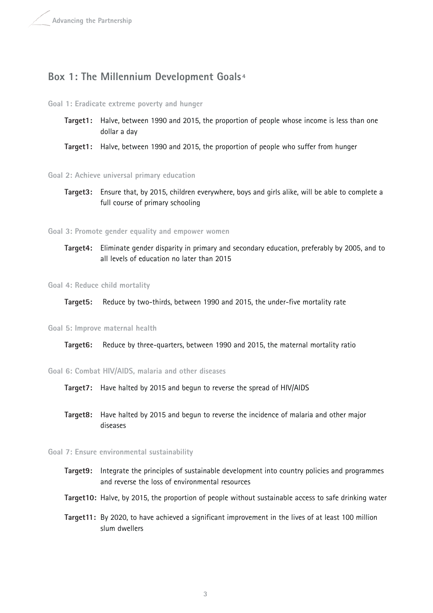## **Box 1: The Millennium Development Goals <sup>4</sup>**

#### **Goal 1: Eradicate extreme poverty and hunger**

- **Target1:** Halve, between 1990 and 2015, the proportion of people whose income is less than one dollar a day
- **Target1:** Halve, between 1990 and 2015, the proportion of people who suffer from hunger

**Goal 2: Achieve universal primary education**

**Target3:** Ensure that, by 2015, children everywhere, boys and girls alike, will be able to complete a full course of primary schooling

**Goal 3: Promote gender equality and empower women**

**Target4:** Eliminate gender disparity in primary and secondary education, preferably by 2005, and to all levels of education no later than 2015

**Goal 4: Reduce child mortality**

**Target5:** Reduce by two-thirds, between 1990 and 2015, the under-five mortality rate

#### **Goal 5: Improve maternal health**

**Target6:** Reduce by three-quarters, between 1990 and 2015, the maternal mortality ratio

**Goal 6: Combat HIV/AIDS, malaria and other diseases**

**Target7:** Have halted by 2015 and begun to reverse the spread of HIV/AIDS

**Target8:** Have halted by 2015 and begun to reverse the incidence of malaria and other major diseases

#### **Goal 7: Ensure environmental sustainability**

- **Target9:** Integrate the principles of sustainable development into country policies and programmes and reverse the loss of environmental resources
- **Target10:** Halve, by 2015, the proportion of people without sustainable access to safe drinking water
- **Target11:** By 2020, to have achieved a significant improvement in the lives of at least 100 million slum dwellers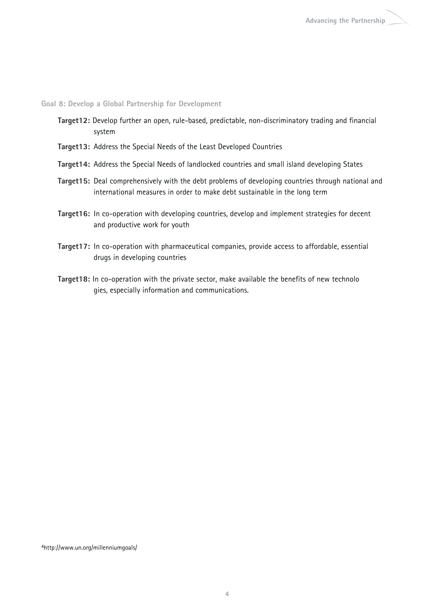**Goal 8: Develop a Global Partnership for Development**

- **Target12:** Develop further an open, rule-based, predictable, non-discriminatory trading and financial system
- **Target13:** Address the Special Needs of the Least Developed Countries
- **Target14:** Address the Special Needs of landlocked countries and small island developing States
- **Target15:** Deal comprehensively with the debt problems of developing countries through national and international measures in order to make debt sustainable in the long term
- **Target16:** In co-operation with developing countries, develop and implement strategies for decent and productive work for youth
- **Target17:** In co-operation with pharmaceutical companies, provide access to affordable, essential drugs in developing countries
- **Target18:** In co-operation with the private sector, make available the benefits of new technolo gies, especially information and communications.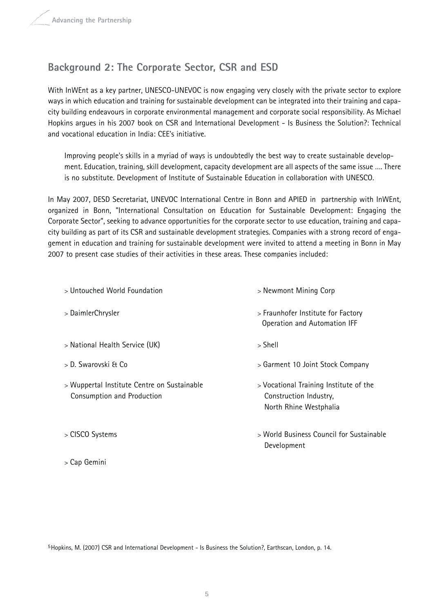# **Background 2: The Corporate Sector, CSR and ESD**

With InWEnt as a key partner, UNESCO-UNEVOC is now engaging very closely with the private sector to explore ways in which education and training for sustainable development can be integrated into their training and capacity building endeavours in corporate environmental management and corporate social responsibility. As Michael Hopkins argues in his 2007 book on CSR and International Development - Is Business the Solution?: Technical and vocational education in India: CEE's initiative.

Improving people's skills in a myriad of ways is undoubtedly the best way to create sustainable development. Education, training, skill development, capacity development are all aspects of the same issue …. There is no substitute. Development of Institute of Sustainable Education in collaboration with UNESCO.

In May 2007, DESD Secretariat, UNEVOC International Centre in Bonn and APIED in partnership with InWEnt, organized in Bonn, "International Consultation on Education for Sustainable Development: Engaging the Corporate Sector", seeking to advance opportunities for the corporate sector to use education, training and capacity building as part of its CSR and sustainable development strategies. Companies with a strong record of engagement in education and training for sustainable development were invited to attend a meeting in Bonn in May 2007 to present case studies of their activities in these areas. These companies included:

| > Untouched World Foundation                                              | > Newmont Mining Corp                                                                      |
|---------------------------------------------------------------------------|--------------------------------------------------------------------------------------------|
| > DaimlerChrysler                                                         | > Fraunhofer Institute for Factory<br>Operation and Automation IFF                         |
| > National Health Service (UK)                                            | $>$ Shell                                                                                  |
| > D. Swarovski & Co                                                       | > Garment 10 Joint Stock Company                                                           |
| > Wuppertal Institute Centre on Sustainable<br>Consumption and Production | > Vocational Training Institute of the<br>Construction Industry,<br>North Rhine Westphalia |
| > CISCO Systems                                                           | > World Business Council for Sustainable<br>Development                                    |
| > Cap Gemini                                                              |                                                                                            |

5Hopkins, M. (2007) CSR and International Development - Is Business the Solution?, Earthscan, London, p. 14.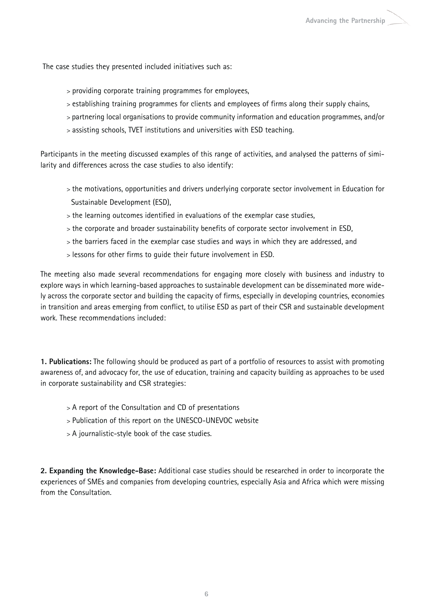The case studies they presented included initiatives such as:

- > providing corporate training programmes for employees,
- > establishing training programmes for clients and employees of firms along their supply chains,
- > partnering local organisations to provide community information and education programmes, and/or
- > assisting schools, TVET institutions and universities with ESD teaching.

Participants in the meeting discussed examples of this range of activities, and analysed the patterns of similarity and differences across the case studies to also identify:

- > the motivations, opportunities and drivers underlying corporate sector involvement in Education for Sustainable Development (ESD),
- > the learning outcomes identified in evaluations of the exemplar case studies,
- > the corporate and broader sustainability benefits of corporate sector involvement in ESD,
- > the barriers faced in the exemplar case studies and ways in which they are addressed, and
- > lessons for other firms to guide their future involvement in ESD.

The meeting also made several recommendations for engaging more closely with business and industry to explore ways in which learning-based approaches to sustainable development can be disseminated more widely across the corporate sector and building the capacity of firms, especially in developing countries, economies in transition and areas emerging from conflict, to utilise ESD as part of their CSR and sustainable development work. These recommendations included:

**1. Publications:** The following should be produced as part of a portfolio of resources to assist with promoting awareness of, and advocacy for, the use of education, training and capacity building as approaches to be used in corporate sustainability and CSR strategies:

- > A report of the Consultation and CD of presentations
- > Publication of this report on the UNESCO-UNEVOC website
- > A journalistic-style book of the case studies.

**2. Expanding the Knowledge-Base:** Additional case studies should be researched in order to incorporate the experiences of SMEs and companies from developing countries, especially Asia and Africa which were missing from the Consultation.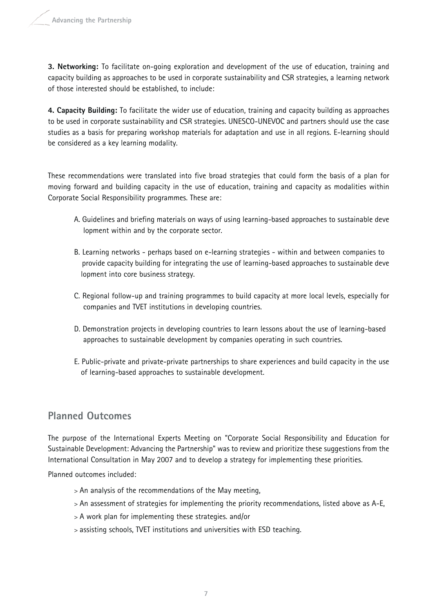**3. Networking:** To facilitate on-going exploration and development of the use of education, training and capacity building as approaches to be used in corporate sustainability and CSR strategies, a learning network of those interested should be established, to include:

**4. Capacity Building:** To facilitate the wider use of education, training and capacity building as approaches to be used in corporate sustainability and CSR strategies. UNESCO-UNEVOC and partners should use the case studies as a basis for preparing workshop materials for adaptation and use in all regions. E-learning should be considered as a key learning modality.

These recommendations were translated into five broad strategies that could form the basis of a plan for moving forward and building capacity in the use of education, training and capacity as modalities within Corporate Social Responsibility programmes. These are:

- A. Guidelines and briefing materials on ways of using learning-based approaches to sustainable deve lopment within and by the corporate sector.
- B. Learning networks perhaps based on e-learning strategies within and between companies to provide capacity building for integrating the use of learning-based approaches to sustainable deve lopment into core business strategy.
- C. Regional follow-up and training programmes to build capacity at more local levels, especially for companies and TVET institutions in developing countries.
- D. Demonstration projects in developing countries to learn lessons about the use of learning-based approaches to sustainable development by companies operating in such countries.
- E. Public-private and private-private partnerships to share experiences and build capacity in the use of learning-based approaches to sustainable development.

# **Planned Outcomes**

The purpose of the International Experts Meeting on "Corporate Social Responsibility and Education for Sustainable Development: Advancing the Partnership" was to review and prioritize these suggestions from the International Consultation in May 2007 and to develop a strategy for implementing these priorities.

Planned outcomes included:

- > An analysis of the recommendations of the May meeting,
- > An assessment of strategies for implementing the priority recommendations, listed above as A-E,
- > A work plan for implementing these strategies. and/or
- > assisting schools, TVET institutions and universities with ESD teaching.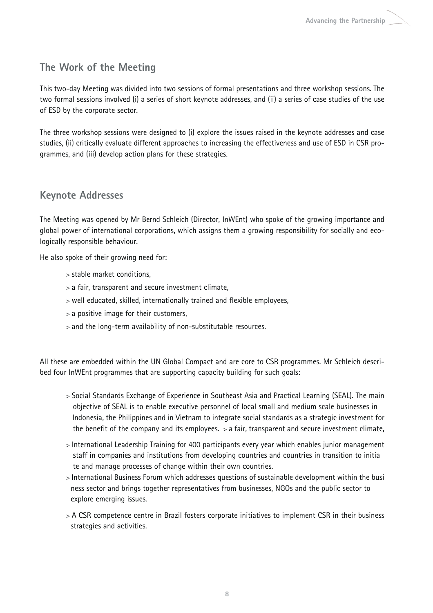# **The Work of the Meeting**

This two-day Meeting was divided into two sessions of formal presentations and three workshop sessions. The two formal sessions involved (i) a series of short keynote addresses, and (ii) a series of case studies of the use of ESD by the corporate sector.

The three workshop sessions were designed to (i) explore the issues raised in the keynote addresses and case studies, (ii) critically evaluate different approaches to increasing the effectiveness and use of ESD in CSR programmes, and (iii) develop action plans for these strategies.

# **Keynote Addresses**

The Meeting was opened by Mr Bernd Schleich (Director, InWEnt) who spoke of the growing importance and global power of international corporations, which assigns them a growing responsibility for socially and ecologically responsible behaviour.

He also spoke of their growing need for:

- > stable market conditions,
- > a fair, transparent and secure investment climate,
- > well educated, skilled, internationally trained and flexible employees,
- > a positive image for their customers,
- > and the long-term availability of non-substitutable resources.

All these are embedded within the UN Global Compact and are core to CSR programmes. Mr Schleich described four InWEnt programmes that are supporting capacity building for such goals:

- > Social Standards Exchange of Experience in Southeast Asia and Practical Learning (SEAL). The main objective of SEAL is to enable executive personnel of local small and medium scale businesses in Indonesia, the Philippines and in Vietnam to integrate social standards as a strategic investment for the benefit of the company and its employees.  $>$  a fair, transparent and secure investment climate,
- > International Leadership Training for 400 participants every year which enables junior management staff in companies and institutions from developing countries and countries in transition to initia te and manage processes of change within their own countries.
- > International Business Forum which addresses questions of sustainable development within the busi ness sector and brings together representatives from businesses, NGOs and the public sector to explore emerging issues.
- > A CSR competence centre in Brazil fosters corporate initiatives to implement CSR in their business strategies and activities.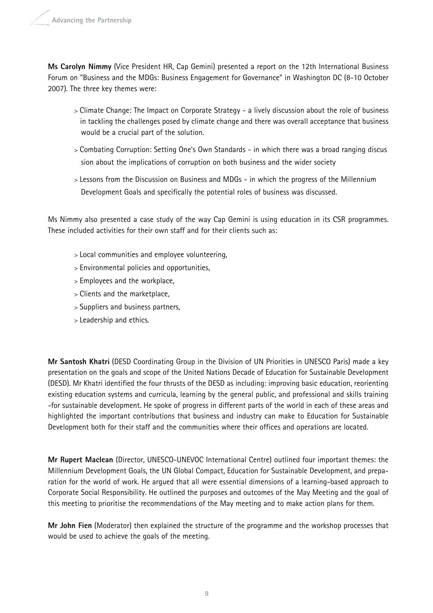**Ms Carolyn Nimmy** (Vice President HR, Cap Gemini) presented a report on the 12th International Business Forum on "Business and the MDGs: Business Engagement for Governance" in Washington DC (8-10 October 2007). The three key themes were:

- > Climate Change: The Impact on Corporate Strategy a lively discussion about the role of business in tackling the challenges posed by climate change and there was overall acceptance that business would be a crucial part of the solution.
- > Combating Corruption: Setting One's Own Standards in which there was a broad ranging discus sion about the implications of corruption on both business and the wider society
- > Lessons from the Discussion on Business and MDGs in which the progress of the Millennium Development Goals and specifically the potential roles of business was discussed.

Ms Nimmy also presented a case study of the way Cap Gemini is using education in its CSR programmes. These included activities for their own staff and for their clients such as:

- > Local communities and employee volunteering,
- > Environmental policies and opportunities,
- > Employees and the workplace,
- > Clients and the marketplace,
- > Suppliers and business partners,
- > Leadership and ethics.

**Mr Santosh Khatri** (DESD Coordinating Group in the Division of UN Priorities in UNESCO Paris) made a key presentation on the goals and scope of the United Nations Decade of Education for Sustainable Development (DESD). Mr Khatri identified the four thrusts of the DESD as including: improving basic education, reorienting existing education systems and curricula, learning by the general public, and professional and skills training -for sustainable development. He spoke of progress in different parts of the world in each of these areas and highlighted the important contributions that business and industry can make to Education for Sustainable Development both for their staff and the communities where their offices and operations are located.

**Mr Rupert Maclean** (Director, UNESCO-UNEVOC International Centre) outlined four important themes: the Millennium Development Goals, the UN Global Compact, Education for Sustainable Development, and preparation for the world of work. He argued that all were essential dimensions of a learning-based approach to Corporate Social Responsibility. He outlined the purposes and outcomes of the May Meeting and the goal of this meeting to prioritise the recommendations of the May meeting and to make action plans for them.

**Mr John Fien** (Moderator) then explained the structure of the programme and the workshop processes that would be used to achieve the goals of the meeting.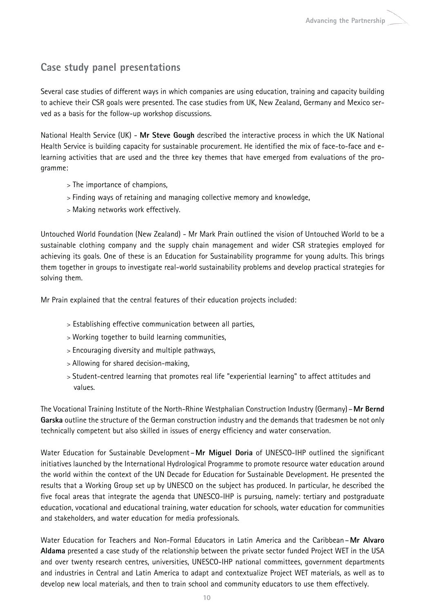# **Case study panel presentations**

Several case studies of different ways in which companies are using education, training and capacity building to achieve their CSR goals were presented. The case studies from UK, New Zealand, Germany and Mexico served as a basis for the follow-up workshop discussions.

National Health Service (UK) - **Mr Steve Gough** described the interactive process in which the UK National Health Service is building capacity for sustainable procurement. He identified the mix of face-to-face and elearning activities that are used and the three key themes that have emerged from evaluations of the programme:

- > The importance of champions,
- > Finding ways of retaining and managing collective memory and knowledge,
- > Making networks work effectively.

Untouched World Foundation (New Zealand) - Mr Mark Prain outlined the vision of Untouched World to be a sustainable clothing company and the supply chain management and wider CSR strategies employed for achieving its goals. One of these is an Education for Sustainability programme for young adults. This brings them together in groups to investigate real-world sustainability problems and develop practical strategies for solving them.

Mr Prain explained that the central features of their education projects included:

- > Establishing effective communication between all parties,
- > Working together to build learning communities,
- > Encouraging diversity and multiple pathways,
- > Allowing for shared decision-making,
- > Student-centred learning that promotes real life "experiential learning" to affect attitudes and values.

The Vocational Training Institute of the North-Rhine Westphalian Construction Industry (Germany)–**Mr Bernd Garska** outline the structure of the German construction industry and the demands that tradesmen be not only technically competent but also skilled in issues of energy efficiency and water conservation.

Water Education for Sustainable Development–**Mr Miguel Doria** of UNESCO-IHP outlined the significant initiatives launched by the International Hydrological Programme to promote resource water education around the world within the context of the UN Decade for Education for Sustainable Development. He presented the results that a Working Group set up by UNESCO on the subject has produced. In particular, he described the five focal areas that integrate the agenda that UNESCO-IHP is pursuing, namely: tertiary and postgraduate education, vocational and educational training, water education for schools, water education for communities and stakeholders, and water education for media professionals.

Water Education for Teachers and Non-Formal Educators in Latin America and the Caribbean–**Mr Alvaro Aldama** presented a case study of the relationship between the private sector funded Project WET in the USA and over twenty research centres, universities, UNESCO-IHP national committees, government departments and industries in Central and Latin America to adapt and contextualize Project WET materials, as well as to develop new local materials, and then to train school and community educators to use them effectively.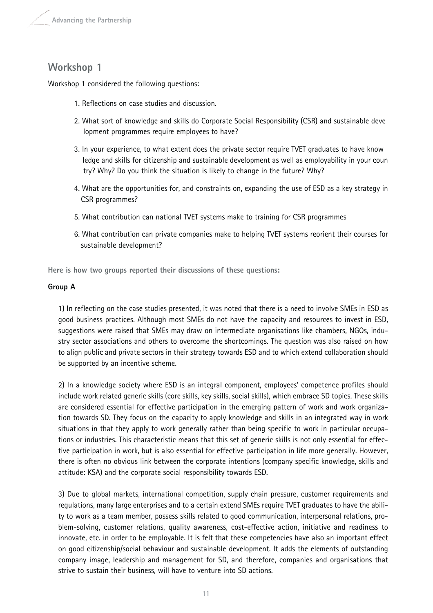# **Workshop 1**

Workshop 1 considered the following questions:

- 1. Reflections on case studies and discussion.
- 2. What sort of knowledge and skills do Corporate Social Responsibility (CSR) and sustainable deve lopment programmes require employees to have?
- 3. In your experience, to what extent does the private sector require TVET graduates to have know ledge and skills for citizenship and sustainable development as well as employability in your coun try? Why? Do you think the situation is likely to change in the future? Why?
- 4. What are the opportunities for, and constraints on, expanding the use of ESD as a key strategy in CSR programmes?
- 5. What contribution can national TVET systems make to training for CSR programmes
- 6. What contribution can private companies make to helping TVET systems reorient their courses for sustainable development?

**Here is how two groups reported their discussions of these questions:**

#### **Group A**

1) In reflecting on the case studies presented, it was noted that there is a need to involve SMEs in ESD as good business practices. Although most SMEs do not have the capacity and resources to invest in ESD, suggestions were raised that SMEs may draw on intermediate organisations like chambers, NGOs, industry sector associations and others to overcome the shortcomings. The question was also raised on how to align public and private sectors in their strategy towards ESD and to which extend collaboration should be supported by an incentive scheme.

2) In a knowledge society where ESD is an integral component, employees' competence profiles should include work related generic skills (core skills, key skills, social skills), which embrace SD topics. These skills are considered essential for effective participation in the emerging pattern of work and work organization towards SD. They focus on the capacity to apply knowledge and skills in an integrated way in work situations in that they apply to work generally rather than being specific to work in particular occupations or industries. This characteristic means that this set of generic skills is not only essential for effective participation in work, but is also essential for effective participation in life more generally. However, there is often no obvious link between the corporate intentions (company specific knowledge, skills and attitude: KSA) and the corporate social responsibility towards ESD.

3) Due to global markets, international competition, supply chain pressure, customer requirements and regulations, many large enterprises and to a certain extend SMEs require TVET graduates to have the ability to work as a team member, possess skills related to good communication, interpersonal relations, problem-solving, customer relations, quality awareness, cost-effective action, initiative and readiness to innovate, etc. in order to be employable. It is felt that these competencies have also an important effect on good citizenship/social behaviour and sustainable development. It adds the elements of outstanding company image, leadership and management for SD, and therefore, companies and organisations that strive to sustain their business, will have to venture into SD actions.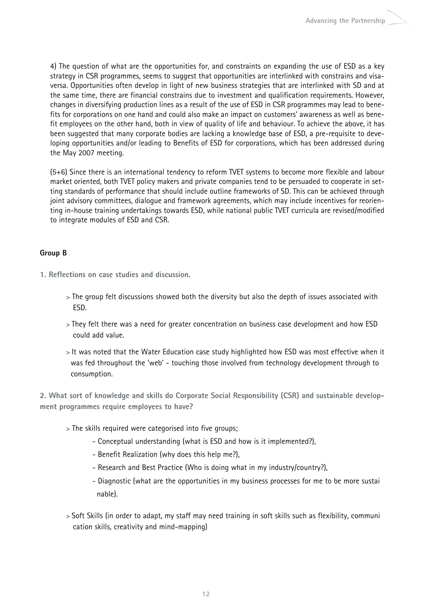4) The question of what are the opportunities for, and constraints on expanding the use of ESD as a key strategy in CSR programmes, seems to suggest that opportunities are interlinked with constrains and visaversa. Opportunities often develop in light of new business strategies that are interlinked with SD and at the same time, there are financial constrains due to investment and qualification requirements. However, changes in diversifying production lines as a result of the use of ESD in CSR programmes may lead to benefits for corporations on one hand and could also make an impact on customers' awareness as well as benefit employees on the other hand, both in view of quality of life and behaviour. To achieve the above, it has been suggested that many corporate bodies are lacking a knowledge base of ESD, a pre-requisite to developing opportunities and/or leading to Benefits of ESD for corporations, which has been addressed during the May 2007 meeting.

(5+6) Since there is an international tendency to reform TVET systems to become more flexible and labour market oriented, both TVET policy makers and private companies tend to be persuaded to cooperate in setting standards of performance that should include outline frameworks of SD. This can be achieved through joint advisory committees, dialogue and framework agreements, which may include incentives for reorienting in-house training undertakings towards ESD, while national public TVET curricula are revised/modified to integrate modules of ESD and CSR.

#### **Group B**

- **1. Reflections on case studies and discussion.**
	- > The group felt discussions showed both the diversity but also the depth of issues associated with ESD.
	- > They felt there was a need for greater concentration on business case development and how ESD could add value.
	- > It was noted that the Water Education case study highlighted how ESD was most effective when it was fed throughout the 'web' - touching those involved from technology development through to consumption.

**2. What sort of knowledge and skills do Corporate Social Responsibility (CSR) and sustainable development programmes require employees to have?**

- > The skills required were categorised into five groups;
	- Conceptual understanding (what is ESD and how is it implemented?),
	- Benefit Realization (why does this help me?),
	- Research and Best Practice (Who is doing what in my industry/country?),
	- Diagnostic (what are the opportunities in my business processes for me to be more sustai nable).
- > Soft Skills (in order to adapt, my staff may need training in soft skills such as flexibility, communi cation skills, creativity and mind-mapping)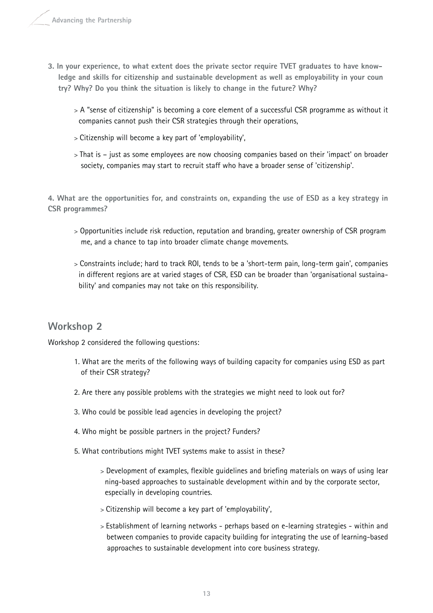- **3. In your experience, to what extent does the private sector require TVET graduates to have knowledge and skills for citizenship and sustainable development as well as employability in your coun try? Why? Do you think the situation is likely to change in the future? Why?** 
	- > A "sense of citizenship" is becoming a core element of a successful CSR programme as without it companies cannot push their CSR strategies through their operations,
	- > Citizenship will become a key part of 'employability',
	- > That is just as some employees are now choosing companies based on their 'impact' on broader society, companies may start to recruit staff who have a broader sense of 'citizenship'.

**4. What are the opportunities for, and constraints on, expanding the use of ESD as a key strategy in CSR programmes?** 

- > Opportunities include risk reduction, reputation and branding, greater ownership of CSR program me, and a chance to tap into broader climate change movements.
- > Constraints include; hard to track ROI, tends to be a 'short-term pain, long-term gain', companies in different regions are at varied stages of CSR, ESD can be broader than 'organisational sustainability' and companies may not take on this responsibility.

# **Workshop 2**

Workshop 2 considered the following questions:

- 1. What are the merits of the following ways of building capacity for companies using ESD as part of their CSR strategy?
- 2. Are there any possible problems with the strategies we might need to look out for?
- 3. Who could be possible lead agencies in developing the project?
- 4. Who might be possible partners in the project? Funders?
- 5. What contributions might TVET systems make to assist in these?
	- > Development of examples, flexible guidelines and briefing materials on ways of using lear ning-based approaches to sustainable development within and by the corporate sector, especially in developing countries.
	- > Citizenship will become a key part of 'employability',
	- > Establishment of learning networks perhaps based on e-learning strategies within and between companies to provide capacity building for integrating the use of learning-based approaches to sustainable development into core business strategy.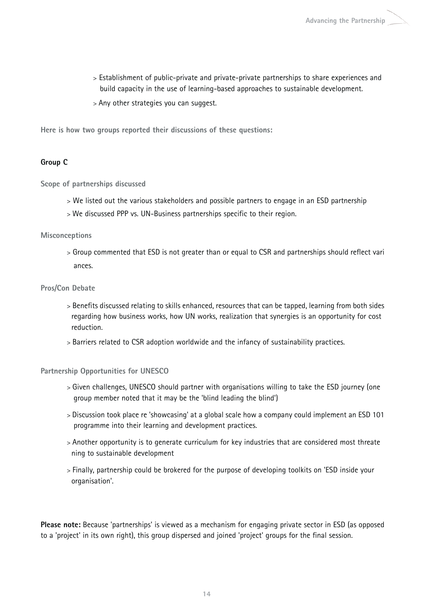- > Establishment of public-private and private-private partnerships to share experiences and build capacity in the use of learning-based approaches to sustainable development.
- > Any other strategies you can suggest.

**Here is how two groups reported their discussions of these questions:**

#### **Group C**

**Scope of partnerships discussed**

- > We listed out the various stakeholders and possible partners to engage in an ESD partnership
- > We discussed PPP vs. UN-Business partnerships specific to their region.

#### **Misconceptions**

> Group commented that ESD is not greater than or equal to CSR and partnerships should reflect vari ances.

#### **Pros/Con Debate**

- > Benefits discussed relating to skills enhanced, resources that can be tapped, learning from both sides regarding how business works, how UN works, realization that synergies is an opportunity for cost reduction.
- > Barriers related to CSR adoption worldwide and the infancy of sustainability practices.

#### **Partnership Opportunities for UNESCO**

- > Given challenges, UNESCO should partner with organisations willing to take the ESD journey (one group member noted that it may be the 'blind leading the blind')
- > Discussion took place re 'showcasing' at a global scale how a company could implement an ESD 101 programme into their learning and development practices.
- > Another opportunity is to generate curriculum for key industries that are considered most threate ning to sustainable development
- > Finally, partnership could be brokered for the purpose of developing toolkits on 'ESD inside your organisation'.

**Please note:** Because 'partnerships' is viewed as a mechanism for engaging private sector in ESD (as opposed to a 'project' in its own right), this group dispersed and joined 'project' groups for the final session.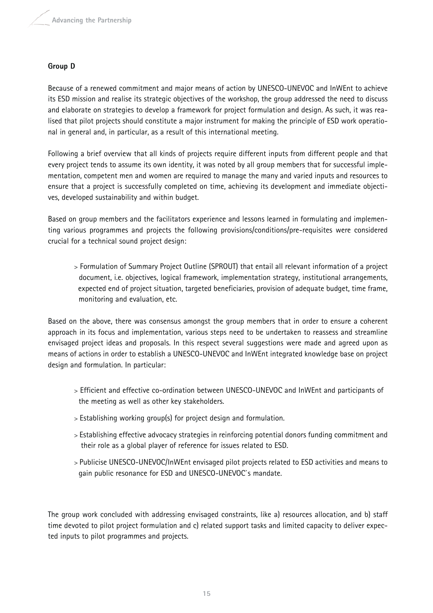#### **Group D**

Because of a renewed commitment and major means of action by UNESCO-UNEVOC and InWEnt to achieve its ESD mission and realise its strategic objectives of the workshop, the group addressed the need to discuss and elaborate on strategies to develop a framework for project formulation and design. As such, it was realised that pilot projects should constitute a major instrument for making the principle of ESD work operational in general and, in particular, as a result of this international meeting.

Following a brief overview that all kinds of projects require different inputs from different people and that every project tends to assume its own identity, it was noted by all group members that for successful implementation, competent men and women are required to manage the many and varied inputs and resources to ensure that a project is successfully completed on time, achieving its development and immediate objectives, developed sustainability and within budget.

Based on group members and the facilitators experience and lessons learned in formulating and implementing various programmes and projects the following provisions/conditions/pre-requisites were considered crucial for a technical sound project design:

> Formulation of Summary Project Outline (SPROUT) that entail all relevant information of a project document, i.e. objectives, logical framework, implementation strategy, institutional arrangements, expected end of project situation, targeted beneficiaries, provision of adequate budget, time frame, monitoring and evaluation, etc.

Based on the above, there was consensus amongst the group members that in order to ensure a coherent approach in its focus and implementation, various steps need to be undertaken to reassess and streamline envisaged project ideas and proposals. In this respect several suggestions were made and agreed upon as means of actions in order to establish a UNESCO-UNEVOC and InWEnt integrated knowledge base on project design and formulation. In particular:

- > Efficient and effective co-ordination between UNESCO-UNEVOC and InWEnt and participants of the meeting as well as other key stakeholders.
- > Establishing working group(s) for project design and formulation.
- > Establishing effective advocacy strategies in reinforcing potential donors funding commitment and their role as a global player of reference for issues related to ESD.
- > Publicise UNESCO-UNEVOC/InWEnt envisaged pilot projects related to ESD activities and means to gain public resonance for ESD and UNESCO-UNEVOC`s mandate.

The group work concluded with addressing envisaged constraints, like a) resources allocation, and b) staff time devoted to pilot project formulation and c) related support tasks and limited capacity to deliver expected inputs to pilot programmes and projects.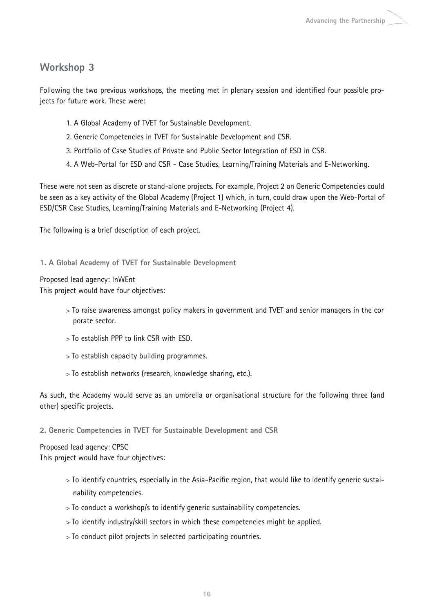# **Workshop 3**

Following the two previous workshops, the meeting met in plenary session and identified four possible projects for future work. These were:

- 1. A Global Academy of TVET for Sustainable Development.
- 2. Generic Competencies in TVET for Sustainable Development and CSR.
- 3. Portfolio of Case Studies of Private and Public Sector Integration of ESD in CSR.
- 4. A Web-Portal for ESD and CSR Case Studies, Learning/Training Materials and E-Networking.

These were not seen as discrete or stand-alone projects. For example, Project 2 on Generic Competencies could be seen as a key activity of the Global Academy (Project 1) which, in turn, could draw upon the Web-Portal of ESD/CSR Case Studies, Learning/Training Materials and E-Networking (Project 4).

The following is a brief description of each project.

**1. A Global Academy of TVET for Sustainable Development**

Proposed lead agency: InWEnt

This project would have four objectives:

- > To raise awareness amongst policy makers in government and TVET and senior managers in the cor porate sector.
- > To establish PPP to link CSR with ESD.
- > To establish capacity building programmes.
- > To establish networks (research, knowledge sharing, etc.).

As such, the Academy would serve as an umbrella or organisational structure for the following three (and other) specific projects.

**2. Generic Competencies in TVET for Sustainable Development and CSR**

Proposed lead agency: CPSC

This project would have four objectives:

- > To identify countries, especially in the Asia-Pacific region, that would like to identify generic sustainability competencies.
- > To conduct a workshop/s to identify generic sustainability competencies.
- > To identify industry/skill sectors in which these competencies might be applied.
- > To conduct pilot projects in selected participating countries.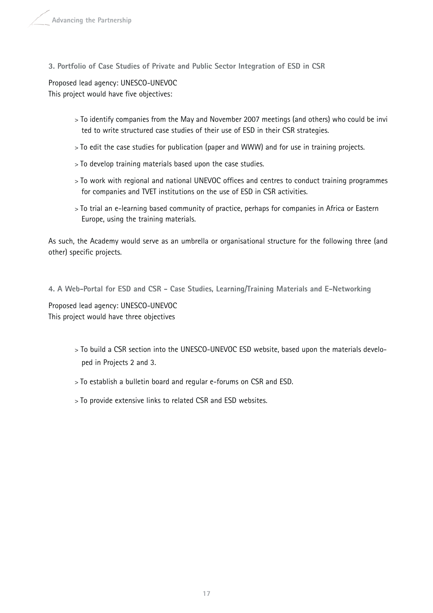**3. Portfolio of Case Studies of Private and Public Sector Integration of ESD in CSR**

Proposed lead agency: UNESCO-UNEVOC This project would have five objectives:

- > To identify companies from the May and November 2007 meetings (and others) who could be invi ted to write structured case studies of their use of ESD in their CSR strategies.
- > To edit the case studies for publication (paper and WWW) and for use in training projects.
- > To develop training materials based upon the case studies.
- > To work with regional and national UNEVOC offices and centres to conduct training programmes for companies and TVET institutions on the use of ESD in CSR activities.
- > To trial an e-learning based community of practice, perhaps for companies in Africa or Eastern Europe, using the training materials.

As such, the Academy would serve as an umbrella or organisational structure for the following three (and other) specific projects.

**4. A Web-Portal for ESD and CSR - Case Studies, Learning/Training Materials and E-Networking**

Proposed lead agency: UNESCO-UNEVOC This project would have three objectives

- > To build a CSR section into the UNESCO-UNEVOC ESD website, based upon the materials developed in Projects 2 and 3.
- > To establish a bulletin board and regular e-forums on CSR and ESD.
- > To provide extensive links to related CSR and ESD websites.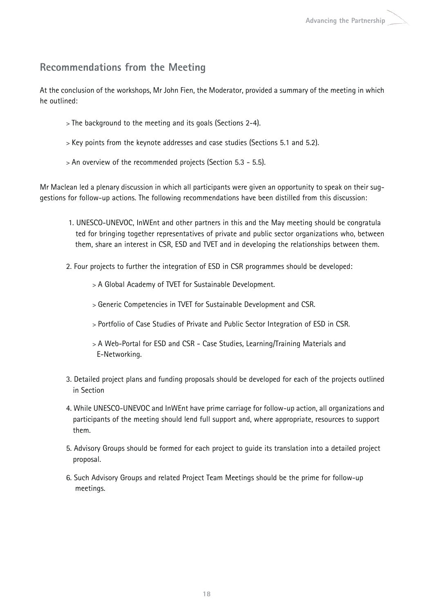# **Recommendations from the Meeting**

At the conclusion of the workshops, Mr John Fien, the Moderator, provided a summary of the meeting in which he outlined:

- > The background to the meeting and its goals (Sections 2-4).
- > Key points from the keynote addresses and case studies (Sections 5.1 and 5.2).
- > An overview of the recommended projects (Section 5.3 5.5).

Mr Maclean led a plenary discussion in which all participants were given an opportunity to speak on their suggestions for follow-up actions. The following recommendations have been distilled from this discussion:

- 1. UNESCO-UNEVOC, InWEnt and other partners in this and the May meeting should be congratula ted for bringing together representatives of private and public sector organizations who, between them, share an interest in CSR, ESD and TVET and in developing the relationships between them.
- 2. Four projects to further the integration of ESD in CSR programmes should be developed:
	- > A Global Academy of TVET for Sustainable Development.
	- > Generic Competencies in TVET for Sustainable Development and CSR.
	- > Portfolio of Case Studies of Private and Public Sector Integration of ESD in CSR.
	- > A Web-Portal for ESD and CSR Case Studies, Learning/Training Materials and E-Networking.
- 3. Detailed project plans and funding proposals should be developed for each of the projects outlined in Section
- 4. While UNESCO-UNEVOC and InWEnt have prime carriage for follow-up action, all organizations and participants of the meeting should lend full support and, where appropriate, resources to support them.
- 5. Advisory Groups should be formed for each project to guide its translation into a detailed project proposal.
- 6. Such Advisory Groups and related Project Team Meetings should be the prime for follow-up meetings.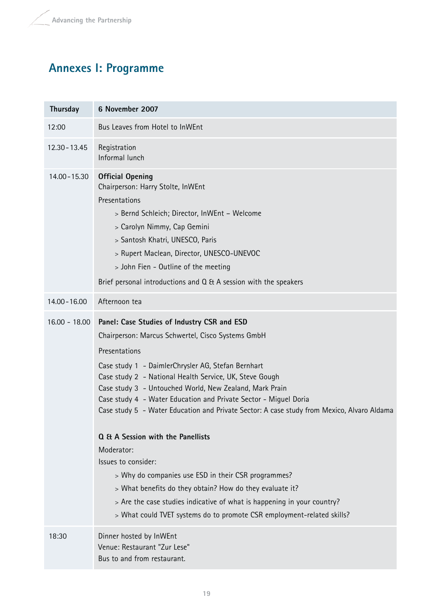# **Annexes I: Programme**

| Thursday        | 6 November 2007                                                                                                                                                                                                                                                                                                                                                                                                                                                                                                                                                                                                                                                                                                                                                                                                   |
|-----------------|-------------------------------------------------------------------------------------------------------------------------------------------------------------------------------------------------------------------------------------------------------------------------------------------------------------------------------------------------------------------------------------------------------------------------------------------------------------------------------------------------------------------------------------------------------------------------------------------------------------------------------------------------------------------------------------------------------------------------------------------------------------------------------------------------------------------|
| 12:00           | Bus Leaves from Hotel to InWEnt                                                                                                                                                                                                                                                                                                                                                                                                                                                                                                                                                                                                                                                                                                                                                                                   |
| 12.30 - 13.45   | Registration<br>Informal lunch                                                                                                                                                                                                                                                                                                                                                                                                                                                                                                                                                                                                                                                                                                                                                                                    |
| 14.00 - 15.30   | <b>Official Opening</b><br>Chairperson: Harry Stolte, InWEnt<br>Presentations<br>> Bernd Schleich; Director, InWEnt - Welcome<br>> Carolyn Nimmy, Cap Gemini<br>> Santosh Khatri, UNESCO, Paris<br>> Rupert Maclean, Director, UNESCO-UNEVOC<br>> John Fien - Outline of the meeting<br>Brief personal introductions and Q & A session with the speakers                                                                                                                                                                                                                                                                                                                                                                                                                                                          |
| $14.00 - 16.00$ | Afternoon tea                                                                                                                                                                                                                                                                                                                                                                                                                                                                                                                                                                                                                                                                                                                                                                                                     |
| $16.00 - 18.00$ | Panel: Case Studies of Industry CSR and ESD<br>Chairperson: Marcus Schwertel, Cisco Systems GmbH<br>Presentations<br>Case study 1 - DaimlerChrysler AG, Stefan Bernhart<br>Case study 2 - National Health Service, UK, Steve Gough<br>Case study 3 - Untouched World, New Zealand, Mark Prain<br>Case study 4 - Water Education and Private Sector - Miguel Doria<br>Case study 5 - Water Education and Private Sector: A case study from Mexico, Alvaro Aldama<br>Q & A Session with the Panellists<br>Moderator:<br>Issues to consider:<br>> Why do companies use ESD in their CSR programmes?<br>> What benefits do they obtain? How do they evaluate it?<br>> Are the case studies indicative of what is happening in your country?<br>> What could TVET systems do to promote CSR employment-related skills? |
| 18:30           | Dinner hosted by InWEnt<br>Venue: Restaurant "Zur Lese"<br>Bus to and from restaurant.                                                                                                                                                                                                                                                                                                                                                                                                                                                                                                                                                                                                                                                                                                                            |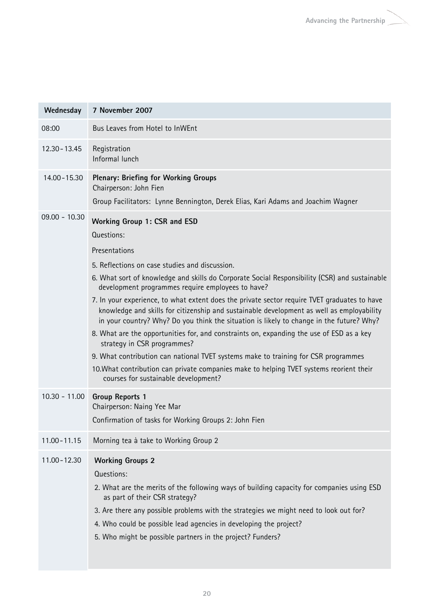| Wednesday       | 7 November 2007                                                                                                                                                                                                                                                                                                                                                                                                                              |
|-----------------|----------------------------------------------------------------------------------------------------------------------------------------------------------------------------------------------------------------------------------------------------------------------------------------------------------------------------------------------------------------------------------------------------------------------------------------------|
| 08:00           | Bus Leaves from Hotel to InWEnt                                                                                                                                                                                                                                                                                                                                                                                                              |
| 12.30 - 13.45   | Registration<br>Informal lunch                                                                                                                                                                                                                                                                                                                                                                                                               |
| 14.00 - 15.30   | <b>Plenary: Briefing for Working Groups</b><br>Chairperson: John Fien                                                                                                                                                                                                                                                                                                                                                                        |
|                 | Group Facilitators: Lynne Bennington, Derek Elias, Kari Adams and Joachim Wagner                                                                                                                                                                                                                                                                                                                                                             |
| $09.00 - 10.30$ | <b>Working Group 1: CSR and ESD</b><br>Questions:<br>Presentations                                                                                                                                                                                                                                                                                                                                                                           |
|                 | 5. Reflections on case studies and discussion.<br>6. What sort of knowledge and skills do Corporate Social Responsibility (CSR) and sustainable<br>development programmes require employees to have?<br>7. In your experience, to what extent does the private sector require TVET graduates to have<br>knowledge and skills for citizenship and sustainable development as well as employability                                            |
|                 | in your country? Why? Do you think the situation is likely to change in the future? Why?<br>8. What are the opportunities for, and constraints on, expanding the use of ESD as a key<br>strategy in CSR programmes?<br>9. What contribution can national TVET systems make to training for CSR programmes<br>10. What contribution can private companies make to helping TVET systems reorient their<br>courses for sustainable development? |
| $10.30 - 11.00$ | <b>Group Reports 1</b><br>Chairperson: Naing Yee Mar<br>Confirmation of tasks for Working Groups 2: John Fien                                                                                                                                                                                                                                                                                                                                |
| $11.00 - 11.15$ | Morning tea à take to Working Group 2                                                                                                                                                                                                                                                                                                                                                                                                        |
| $11.00 - 12.30$ | <b>Working Groups 2</b><br>Questions:<br>2. What are the merits of the following ways of building capacity for companies using ESD<br>as part of their CSR strategy?<br>3. Are there any possible problems with the strategies we might need to look out for?<br>4. Who could be possible lead agencies in developing the project?<br>5. Who might be possible partners in the project? Funders?                                             |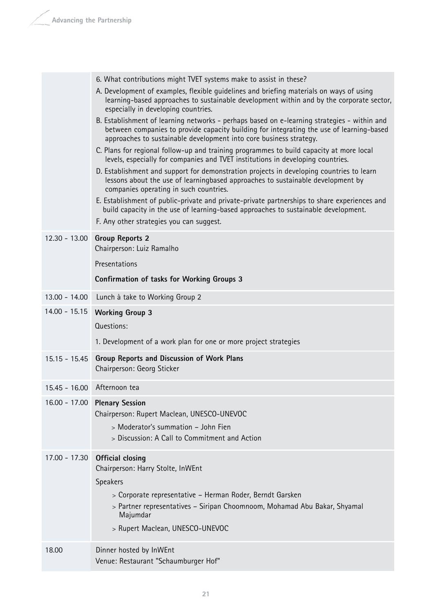|                 | 6. What contributions might TVET systems make to assist in these?                                                                                                                                                                                             |
|-----------------|---------------------------------------------------------------------------------------------------------------------------------------------------------------------------------------------------------------------------------------------------------------|
|                 | A. Development of examples, flexible guidelines and briefing materials on ways of using<br>learning-based approaches to sustainable development within and by the corporate sector,<br>especially in developing countries.                                    |
|                 | B. Establishment of learning networks - perhaps based on e-learning strategies - within and<br>between companies to provide capacity building for integrating the use of learning-based<br>approaches to sustainable development into core business strategy. |
|                 | C. Plans for regional follow-up and training programmes to build capacity at more local<br>levels, especially for companies and TVET institutions in developing countries.                                                                                    |
|                 | D. Establishment and support for demonstration projects in developing countries to learn<br>lessons about the use of learningbased approaches to sustainable development by<br>companies operating in such countries.                                         |
|                 | E. Establishment of public-private and private-private partnerships to share experiences and<br>build capacity in the use of learning-based approaches to sustainable development.<br>F. Any other strategies you can suggest.                                |
| $12.30 - 13.00$ | <b>Group Reports 2</b>                                                                                                                                                                                                                                        |
|                 | Chairperson: Luiz Ramalho                                                                                                                                                                                                                                     |
|                 | Presentations                                                                                                                                                                                                                                                 |
|                 | <b>Confirmation of tasks for Working Groups 3</b>                                                                                                                                                                                                             |
| $13.00 - 14.00$ | Lunch à take to Working Group 2                                                                                                                                                                                                                               |
| $14.00 - 15.15$ | <b>Working Group 3</b>                                                                                                                                                                                                                                        |
|                 | Questions:                                                                                                                                                                                                                                                    |
|                 | 1. Development of a work plan for one or more project strategies                                                                                                                                                                                              |
| $15.15 - 15.45$ | Group Reports and Discussion of Work Plans<br>Chairperson: Georg Sticker                                                                                                                                                                                      |
|                 |                                                                                                                                                                                                                                                               |
| $15.45 - 16.00$ | Afternoon tea                                                                                                                                                                                                                                                 |
| $16.00 - 17.00$ | <b>Plenary Session</b>                                                                                                                                                                                                                                        |
|                 | Chairperson: Rupert Maclean, UNESCO-UNEVOC                                                                                                                                                                                                                    |
|                 | > Moderator's summation - John Fien                                                                                                                                                                                                                           |
|                 | > Discussion: A Call to Commitment and Action                                                                                                                                                                                                                 |
| $17.00 - 17.30$ | <b>Official closing</b>                                                                                                                                                                                                                                       |
|                 | Chairperson: Harry Stolte, InWEnt                                                                                                                                                                                                                             |
|                 | Speakers<br>> Corporate representative - Herman Roder, Berndt Garsken                                                                                                                                                                                         |
|                 | > Partner representatives - Siripan Choomnoom, Mohamad Abu Bakar, Shyamal                                                                                                                                                                                     |
|                 | Majumdar                                                                                                                                                                                                                                                      |
|                 | > Rupert Maclean, UNESCO-UNEVOC                                                                                                                                                                                                                               |
| 18.00           | Dinner hosted by InWEnt<br>Venue: Restaurant "Schaumburger Hof"                                                                                                                                                                                               |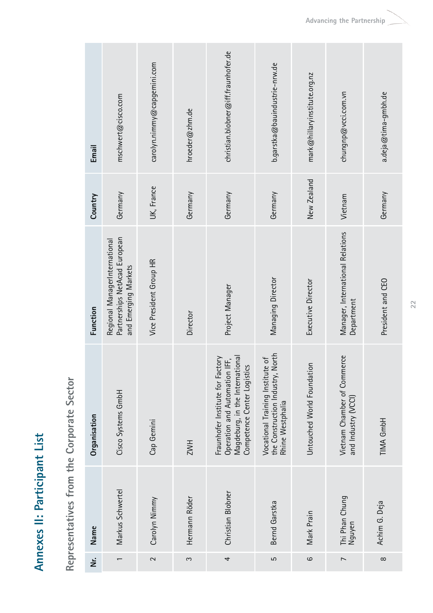Annexes II: Participant List **Annexes II: Participant List**

Representatives from the Corporate Sector **Representatives from the Corporate Sector**

| Email        | mschwert@cisco.com                                                                     | carolyn.nimmy@capgemini.com | hroeder@zhm.de | christian.blobner@iff.fraunhofer.de                                                                                                 | b.garstka@bauindustrie-nrw.de                                                               | mark@hillaryinstitute.org.nz | chungnp@vcci.com.vn                                | a.deja@tima-gmbh.de |
|--------------|----------------------------------------------------------------------------------------|-----------------------------|----------------|-------------------------------------------------------------------------------------------------------------------------------------|---------------------------------------------------------------------------------------------|------------------------------|----------------------------------------------------|---------------------|
| Country      | Germany                                                                                | UK, France                  | Germany        | Germany                                                                                                                             | Germany                                                                                     | New Zealand                  | Vietnam                                            | Germany             |
| Function     | Partnerships NetAcad European<br>Regional ManagerInternational<br>and Emerging Markets | Vice President Group HR     | Director       | Project Manager                                                                                                                     | Managing Director                                                                           | Executive Director           | Manager, International Relations<br>Department     | President and CEO   |
| Organisation | Cisco Systems GmbH                                                                     | Cap Gemini                  | ZWH            | Magdeburg, in the International<br>Fraunhofer Institute for Factory<br>Operation and Automation IFF,<br>Competence Center Logistics | North<br>Vocational Training Institute of<br>the Construction Industry,<br>Rhine Westphalia | Untouched World Foundation   | Vietnam Chamber of Commerce<br>and Industry (VCCI) | TIMA GmbH           |
| Name         | Markus Schwertel                                                                       | Carolyn Nimmy               | Hermann Röder  | Christian Blobner                                                                                                                   | Bernd Garstka                                                                               | Mark Prain                   | Thi Phan Chung<br>Nguyen                           | Achim G. Deja       |
| ż            |                                                                                        | $\sim$                      | S              | 4                                                                                                                                   | LO                                                                                          | ဖ                            | $\overline{ }$                                     | $\infty$            |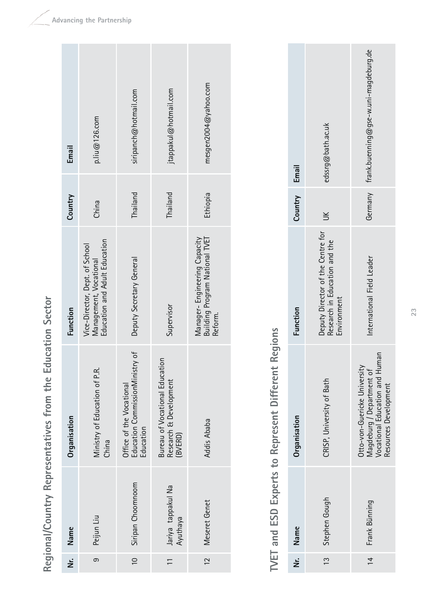Regional/Country Representatives from the Education Sector **Regional/Country Representatives from the Education Sector**

| Email        | $p$ . liu $@126$ . com                                                                    | siripanch@hotmail.com                                                    | jtappakul@hotmail.com                                               | mesgen2004@yahoo.com                                                      |
|--------------|-------------------------------------------------------------------------------------------|--------------------------------------------------------------------------|---------------------------------------------------------------------|---------------------------------------------------------------------------|
| Country      | China                                                                                     | Thailand                                                                 | Thailand                                                            | Ethiopia                                                                  |
| Function     | Education and Adult Education<br>Vice-Director, Dept. of School<br>Management, Vocational | Deputy Secretary General                                                 | Supervisor                                                          | Building Program National TVET<br>Manager-Engineering Capacity<br>Reform. |
| Organisation | Ministry of Education of P.R.<br>China                                                    | Education CommissionMinistry of<br>Office of the Vocational<br>Education | Bureau of Vocational Education<br>Research & Development<br>(BVERD) | <b>Addis Ababa</b>                                                        |
| Name         | Peijun Liu                                                                                | Siripan Choomnoom                                                        | Jariya tappakul Na<br>Ayuthaya                                      | Meseret Genet                                                             |
| ż            | ၜ                                                                                         | $\frac{10}{10}$                                                          | $\frac{1}{1}$                                                       | $\frac{12}{2}$                                                            |

# TVET and ESD Experts to Represent Different Regions **TVET and ESD Experts to Represent Different Regions**

|               | edssrg@bath.ac.uk                                                                 | Germany frank.buenning@gse-w.uni-magdeburg.de                                                                                   |
|---------------|-----------------------------------------------------------------------------------|---------------------------------------------------------------------------------------------------------------------------------|
| Country Email | $\leq$                                                                            |                                                                                                                                 |
| Function      | Deputy Director of the Centre for<br>Research in Education and the<br>Environment | International Field Leader                                                                                                      |
| Organisation  | CRISP, University of Bath                                                         | uman<br>Otto-von-Guericke University<br>Magdeburg / Department of<br><b>/ocational Education and H</b><br>Resources Development |
| Nr. Name      | 13 Stephen Gough                                                                  | Frank Bünning                                                                                                                   |
|               |                                                                                   | $\frac{14}{1}$                                                                                                                  |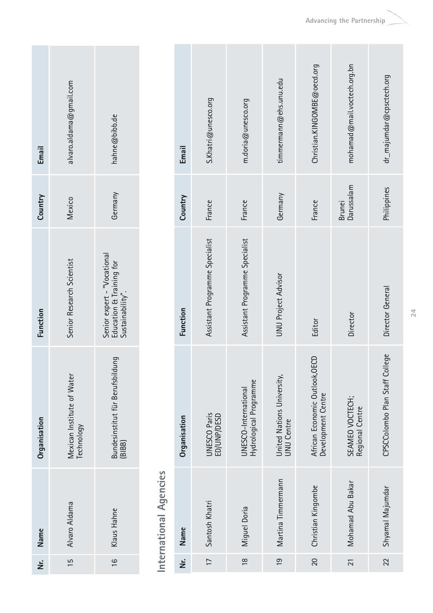| Email        | alvaro.aldama@gmail.com                      | hahne@bibb.de                                                               |
|--------------|----------------------------------------------|-----------------------------------------------------------------------------|
| Country      | Vlexico                                      | Germany                                                                     |
| Function     | Senior Research Scientist                    | Senior expert - "Vocational<br>Education & Training for<br>Sustainability". |
| Organisation | ater<br>Mexican Institute of W<br>Technology | Bundesinstitut für Berufsbildung<br>(BIBB)                                  |
| Nr. Name     | 15 Alvaro Aldama                             | 16 Klaus Hahne                                                              |
|              |                                              |                                                                             |

International Agencies **International Agencies**

| Email        | S. Khatri@unesco.org               | m.doria@unesco.org                             | timmermann@ehs.unu.edu                          | Christian.KINGOMBE@oecd.org                          | mohamad@mail.voctech.org.bn        | dr_majumdar@cpsctech.org       |
|--------------|------------------------------------|------------------------------------------------|-------------------------------------------------|------------------------------------------------------|------------------------------------|--------------------------------|
| Country      | France                             | France                                         | Germany                                         | France                                               | Darussalam<br>Brunei               | Philippines                    |
| Function     | Assistant Programme Specialist     | Assistant Programme Specialist                 | <b>UNU Project Advisor</b>                      | Editor                                               | Director                           | Director General               |
| Organisation | <b>UNESCO Paris</b><br>ED/UNP/DESD | Hydrological Programme<br>JNESCO-International | United Nations University,<br><b>UNU Centre</b> | African Economic Outlook, OECD<br>Development Centre | SEAMEO VOCTECH;<br>Regional Centre | CPSCColombo Plan Staff College |
| Name         | Santosh Khatri                     | Miguel Doria                                   | Martina Timmermann                              | Christian Kingombe                                   | Mohamad Abu Bakar                  | Shyamal Majumdar               |
| ż            | $\overline{1}$                     | $\frac{8}{10}$                                 | $\overline{0}$                                  | $\overline{20}$                                      | $\overline{21}$                    | 22                             |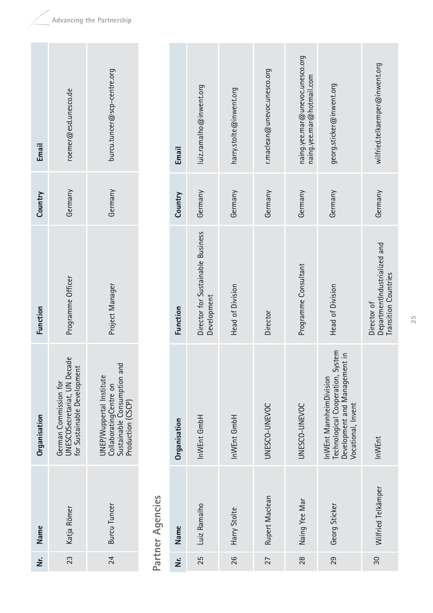| <b>Lmail</b>                |   |
|-----------------------------|---|
| roemer@esd.unesco.de        | ы |
|                             |   |
| burcu.tuncer@scp-centre.org |   |

**Nr. Name Organisation Function Email**

Organisation

Name

ن<br>خا

Function

**Country**

Email

German Commission for

UNESCOSecretariat, UN Decade for Sustainable Development

German Commission for<br>UNESCOSecretariat, UN Decade<br>for Sustainable Development

Katja Römer

Katja Römer

23

Programme Officer

Programme Officer

Germany

UNEP/Wuppertal Institute CollaboratingCentre on Sustainable Consumption and

UNEP/Wuppertal Institute<br>CollaboratingCentre on<br>Sustainable Consumption and<br>Production (CSCP)

Burcu Tuncer

**Burcu Tuncer** 

24

Project Manager

Project Manager

Germany

Production (CSCP)

Partner Agencies **Partner Agencies**

| Email        | luiz.ramalho@inwent.org                          | harry.stolte@inwent.org | r.maclean@unevoc.unesco.org | naing.yee.mar@unevoc.unesco.org<br>naing.yee.mar@hotmail.com | georg.sticker@inwent.org                                                                                           | wilfried.telkaemper@inwent.org                                             |
|--------------|--------------------------------------------------|-------------------------|-----------------------------|--------------------------------------------------------------|--------------------------------------------------------------------------------------------------------------------|----------------------------------------------------------------------------|
| Country      | Germany                                          | Germany                 | Germany                     | Germany                                                      | Germany                                                                                                            | Germany                                                                    |
| Function     | Director for Sustainable Business<br>Development | Head of Division        | Director                    | Programme Consultant                                         | Head of Division                                                                                                   | DepartmentIndustrialized and<br><b>Transition Countries</b><br>Director of |
| Organisation | InWEnt GmbH                                      | InWEnt GmbH             | UNESCO-UNEVOC               | UNESCO-UNEVOC                                                | Technological Cooperation, System<br>Development and Management in<br>nWEnt MannheimDivision<br>Vocational, Invent | InWEnt                                                                     |
| Name         | Luiz Ramalho                                     | Harry Stolte            | Rupert Maclean              | Naing Yee Mar                                                | Georg Sticker                                                                                                      | Wilfried Telkämper                                                         |
| ż            | 25                                               | 26                      | 27                          | 28                                                           | 29                                                                                                                 | 30                                                                         |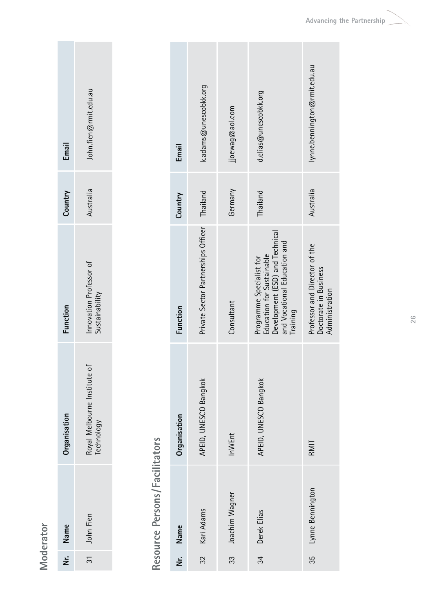Moderator **Moderator**

| Email          | John.fien@rmit.edu.au                  |
|----------------|----------------------------------------|
| Country        | Australia                              |
| <b>unction</b> | Anovation Professor of                 |
| Organisation   | Royal Melbourne Institut<br>Technology |
| Nr. Name       | 31 John Fien                           |
|                |                                        |

# Resource Persons/Facilitators **Resource Persons/Facilitators**

| Email        | k.adams@unescobkk.org               | jjoewag@aol.com | d.elias@unescobkk.org                                                                                                                | lynne.bennington@rmit.edu.au                                             |
|--------------|-------------------------------------|-----------------|--------------------------------------------------------------------------------------------------------------------------------------|--------------------------------------------------------------------------|
| Country      | Thailand                            | Germany         | Thailand                                                                                                                             | Australia                                                                |
| Function     | Private Sector Partnerships Officer | Consultant      | Development (ESD) and Technical<br>and Vocational Education and<br>Education for Sustainable<br>Programme Specialist for<br>Training | Professor and Director of the<br>Doctorate in Business<br>Administration |
| Organisation | APEID, UNESCO Bangkok               | InWEnt          | APEID, UNESCO Bangkok                                                                                                                | RMIT                                                                     |
| Name         | Kari Adams                          | Joachim Wagner  | Derek Elias                                                                                                                          | Lynne Bennington                                                         |
| ż            | 32                                  | က္က             | 34                                                                                                                                   | 35                                                                       |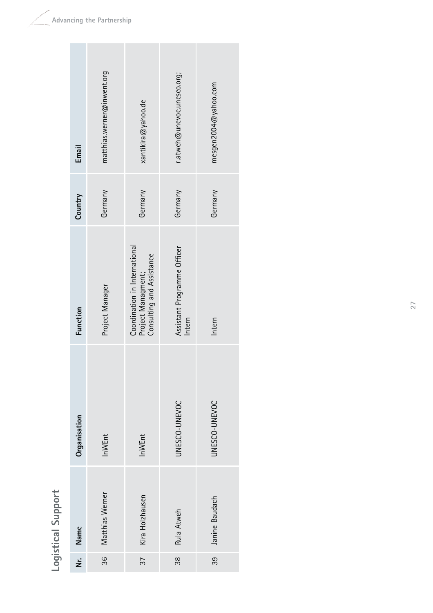Logistical Support **Logistical Support**

| .<br>خ | Name            | Organisation  | Function                                                                         | Country | Email                      |
|--------|-----------------|---------------|----------------------------------------------------------------------------------|---------|----------------------------|
| 36     | Matthias Werner | InWEnt        | Project Manager                                                                  | Germany | matthias.werner@inwent.org |
| 37     | Kira Holzhausen | InWEnt        | Coordination in International<br>Consulting and Assistance<br>Project Managment; | Germany | xantikira@yahoo.de         |
| 88     | Rula Atweh      | UNESCO-UNEVOC | Assistant Programme Officer<br>Intern                                            | Germany | r.atweh@unevoc.unesco.org; |
| ၁၁     | Janine Baudach  | UNESCO-UNEVOC | Intern                                                                           | Germany | mesgen2004@yahoo.com       |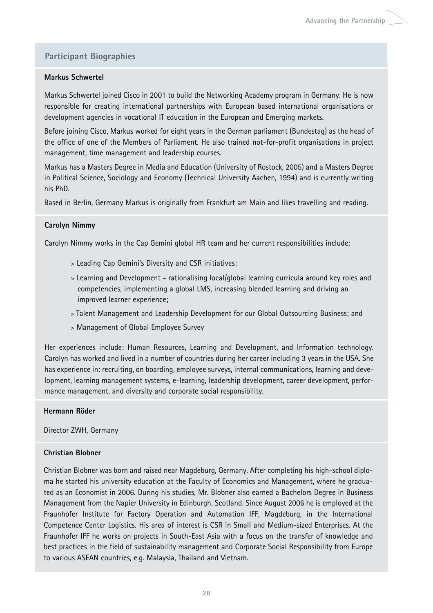#### **Participant Biographies**

#### **Markus Schwertel**

Markus Schwertel joined Cisco in 2001 to build the Networking Academy program in Germany. He is now responsible for creating international partnerships with European based international organisations or development agencies in vocational IT education in the European and Emerging markets.

Before joining Cisco, Markus worked for eight years in the German parliament (Bundestag) as the head of the office of one of the Members of Parliament. He also trained not-for-profit organisations in project management, time management and leadership courses.

Markus has a Masters Degree in Media and Education (University of Rostock, 2005) and a Masters Degree in Political Science, Sociology and Economy (Technical University Aachen, 1994) and is currently writing his PhD.

Based in Berlin, Germany Markus is originally from Frankfurt am Main and likes travelling and reading.

#### **Carolyn Nimmy**

Carolyn Nimmy works in the Cap Gemini global HR team and her current responsibilities include:

- > Leading Cap Gemini's Diversity and CSR initiatives;
- > Learning and Development rationalising local/global learning curricula around key roles and competencies, implementing a global LMS, increasing blended learning and driving an improved learner experience;
- > Talent Management and Leadership Development for our Global Outsourcing Business; and
- > Management of Global Employee Survey

Her experiences include: Human Resources, Learning and Development, and Information technology. Carolyn has worked and lived in a number of countries during her career including 3 years in the USA. She has experience in: recruiting, on boarding, employee surveys, internal communications, learning and development, learning management systems, e-learning, leadership development, career development, performance management, and diversity and corporate social responsibility.

#### **Hermann Röder**

Director ZWH, Germany

#### **Christian Blobner**

Christian Blobner was born and raised near Magdeburg, Germany. After completing his high-school diploma he started his university education at the Faculty of Economics and Management, where he graduated as an Economist in 2006. During his studies, Mr. Blobner also earned a Bachelors Degree in Business Management from the Napier University in Edinburgh, Scotland. Since August 2006 he is employed at the Fraunhofer Institute for Factory Operation and Automation IFF, Magdeburg, in the International Competence Center Logistics. His area of interest is CSR in Small and Medium-sized Enterprises. At the Fraunhofer IFF he works on projects in South-East Asia with a focus on the transfer of knowledge and best practices in the field of sustainability management and Corporate Social Responsibility from Europe to various ASEAN countries, e.g. Malaysia, Thailand and Vietnam.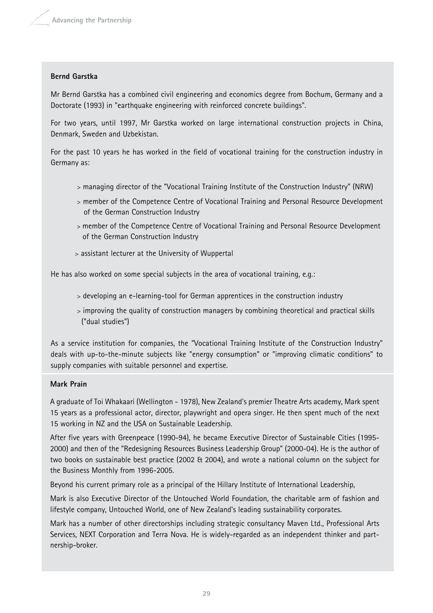#### **Bernd Garstka**

Mr Bernd Garstka has a combined civil engineering and economics degree from Bochum, Germany and a Doctorate (1993) in "earthquake engineering with reinforced concrete buildings".

For two years, until 1997, Mr Garstka worked on large international construction projects in China, Denmark, Sweden and Uzbekistan.

For the past 10 years he has worked in the field of vocational training for the construction industry in Germany as:

- > managing director of the "Vocational Training Institute of the Construction Industry" (NRW)
- > member of the Competence Centre of Vocational Training and Personal Resource Development of the German Construction Industry
- > member of the Competence Centre of Vocational Training and Personal Resource Development of the German Construction Industry
- > assistant lecturer at the University of Wuppertal

He has also worked on some special subjects in the area of vocational training, e.g.:

- > developing an e-learning-tool for German apprentices in the construction industry
- > improving the quality of construction managers by combining theoretical and practical skills ("dual studies")

As a service institution for companies, the "Vocational Training Institute of the Construction Industry" deals with up-to-the-minute subjects like "energy consumption" or "improving climatic conditions" to supply companies with suitable personnel and expertise.

#### **Mark Prain**

A graduate of Toi Whakaari (Wellington - 1978), New Zealand's premier Theatre Arts academy, Mark spent 15 years as a professional actor, director, playwright and opera singer. He then spent much of the next 15 working in NZ and the USA on Sustainable Leadership.

After five years with Greenpeace (1990-94), he became Executive Director of Sustainable Cities (1995- 2000) and then of the "Redesigning Resources Business Leadership Group" (2000-04). He is the author of two books on sustainable best practice (2002 & 2004), and wrote a national column on the subject for the Business Monthly from 1996-2005.

Beyond his current primary role as a principal of the Hillary Institute of International Leadership,

Mark is also Executive Director of the Untouched World Foundation, the charitable arm of fashion and lifestyle company, Untouched World, one of New Zealand's leading sustainability corporates.

Mark has a number of other directorships including strategic consultancy Maven Ltd., Professional Arts Services, NEXT Corporation and Terra Nova. He is widely-regarded as an independent thinker and partnership-broker.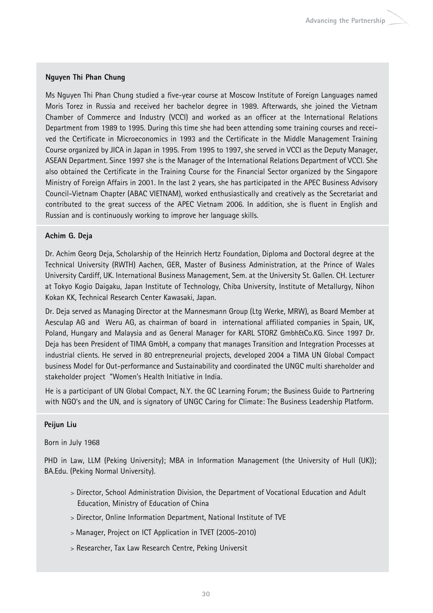#### **Nguyen Thi Phan Chung**

Ms Nguyen Thi Phan Chung studied a five-year course at Moscow Institute of Foreign Languages named Moris Torez in Russia and received her bachelor degree in 1989. Afterwards, she joined the Vietnam Chamber of Commerce and Industry (VCCI) and worked as an officer at the International Relations Department from 1989 to 1995. During this time she had been attending some training courses and received the Certificate in Microeconomics in 1993 and the Certificate in the Middle Management Training Course organized by JICA in Japan in 1995. From 1995 to 1997, she served in VCCI as the Deputy Manager, ASEAN Department. Since 1997 she is the Manager of the International Relations Department of VCCI. She also obtained the Certificate in the Training Course for the Financial Sector organized by the Singapore Ministry of Foreign Affairs in 2001. In the last 2 years, she has participated in the APEC Business Advisory Council-Vietnam Chapter (ABAC VIETNAM), worked enthusiastically and creatively as the Secretariat and contributed to the great success of the APEC Vietnam 2006. In addition, she is fluent in English and Russian and is continuously working to improve her language skills.

#### **Achim G. Deja**

Dr. Achim Georg Deja, Scholarship of the Heinrich Hertz Foundation, Diploma and Doctoral degree at the Technical University (RWTH) Aachen, GER, Master of Business Administration, at the Prince of Wales University Cardiff, UK. International Business Management, Sem. at the University St. Gallen. CH. Lecturer at Tokyo Kogio Daigaku, Japan Institute of Technology, Chiba University, Institute of Metallurgy, Nihon Kokan KK, Technical Research Center Kawasaki, Japan.

Dr. Deja served as Managing Director at the Mannesmann Group (Ltg Werke, MRW), as Board Member at Aesculap AG and Weru AG, as chairman of board in international affiliated companies in Spain, UK, Poland, Hungary and Malaysia and as General Manager for KARL STORZ Gmbh&Co.KG. Since 1997 Dr. Deja has been President of TIMA GmbH, a company that manages Transition and Integration Processes at industrial clients. He served in 80 entrepreneurial projects, developed 2004 a TIMA UN Global Compact business Model for Out-performance and Sustainability and coordinated the UNGC multi shareholder and stakeholder project "Women's Health Initiative in India.

He is a participant of UN Global Compact, N.Y. the GC Learning Forum; the Business Guide to Partnering with NGO's and the UN, and is signatory of UNGC Caring for Climate: The Business Leadership Platform.

#### **Peijun Liu**

#### Born in July 1968

PHD in Law, LLM (Peking University); MBA in Information Management (the University of Hull (UK)); BA.Edu. (Peking Normal University).

- > Director, School Administration Division, the Department of Vocational Education and Adult Education, Ministry of Education of China
- > Director, Online Information Department, National Institute of TVE
- > Manager, Project on ICT Application in TVET (2005-2010)
- > Researcher, Tax Law Research Centre, Peking Universit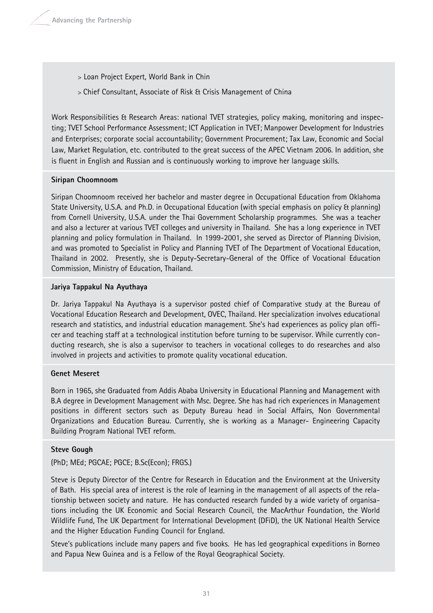- > Loan Project Expert, World Bank in Chin
- > Chief Consultant, Associate of Risk & Crisis Management of China

Work Responsibilities & Research Areas: national TVET strategies, policy making, monitoring and inspecting; TVET School Performance Assessment; ICT Application in TVET; Manpower Development for Industries and Enterprises; corporate social accountability; Government Procurement; Tax Law, Economic and Social Law, Market Regulation, etc. contributed to the great success of the APEC Vietnam 2006. In addition, she is fluent in English and Russian and is continuously working to improve her language skills.

#### **Siripan Choomnoom**

Siripan Choomnoom received her bachelor and master degree in Occupational Education from Oklahoma State University, U.S.A. and Ph.D. in Occupational Education (with special emphasis on policy & planning) from Cornell University, U.S.A. under the Thai Government Scholarship programmes. She was a teacher and also a lecturer at various TVET colleges and university in Thailand. She has a long experience in TVET planning and policy formulation in Thailand. In 1999-2001, she served as Director of Planning Division, and was promoted to Specialist in Policy and Planning TVET of The Department of Vocational Education, Thailand in 2002. Presently, she is Deputy-Secretary-General of the Office of Vocational Education Commission, Ministry of Education, Thailand.

#### **Jariya Tappakul Na Ayuthaya**

Dr. Jariya Tappakul Na Ayuthaya is a supervisor posted chief of Comparative study at the Bureau of Vocational Education Research and Development, OVEC, Thailand. Her specialization involves educational research and statistics, and industrial education management. She's had experiences as policy plan officer and teaching staff at a technological institution before turning to be supervisor. While currently conducting research, she is also a supervisor to teachers in vocational colleges to do researches and also involved in projects and activities to promote quality vocational education.

#### **Genet Meseret**

Born in 1965, she Graduated from Addis Ababa University in Educational Planning and Management with B.A degree in Development Management with Msc. Degree. She has had rich experiences in Management positions in different sectors such as Deputy Bureau head in Social Affairs, Non Governmental Organizations and Education Bureau. Currently, she is working as a Manager- Engineering Capacity Building Program National TVET reform.

#### **Steve Gough**

(PhD; MEd; PGCAE; PGCE; B.Sc(Econ); FRGS.)

Steve is Deputy Director of the Centre for Research in Education and the Environment at the University of Bath. His special area of interest is the role of learning in the management of all aspects of the relationship between society and nature. He has conducted research funded by a wide variety of organisations including the UK Economic and Social Research Council, the MacArthur Foundation, the World Wildlife Fund, The UK Department for International Development (DFiD), the UK National Health Service and the Higher Education Funding Council for England.

Steve's publications include many papers and five books. He has led geographical expeditions in Borneo and Papua New Guinea and is a Fellow of the Royal Geographical Society.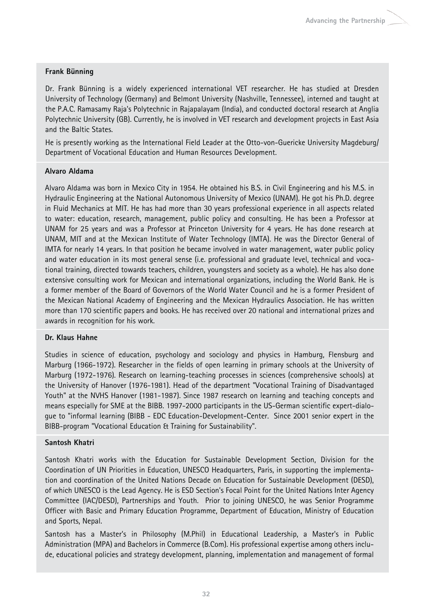#### **Frank Bünning**

Dr. Frank Bünning is a widely experienced international VET researcher. He has studied at Dresden University of Technology (Germany) and Belmont University (Nashville, Tennessee), interned and taught at the P.A.C. Ramasamy Raja's Polytechnic in Rajapalayam (India), and conducted doctoral research at Anglia Polytechnic University (GB). Currently, he is involved in VET research and development projects in East Asia and the Baltic States.

He is presently working as the International Field Leader at the Otto-von-Guericke University Magdeburg/ Department of Vocational Education and Human Resources Development.

#### **Alvaro Aldama**

Alvaro Aldama was born in Mexico City in 1954. He obtained his B.S. in Civil Engineering and his M.S. in Hydraulic Engineering at the National Autonomous University of Mexico (UNAM). He got his Ph.D. degree in Fluid Mechanics at MIT. He has had more than 30 years professional experience in all aspects related to water: education, research, management, public policy and consulting. He has been a Professor at UNAM for 25 years and was a Professor at Princeton University for 4 years. He has done research at UNAM, MIT and at the Mexican Institute of Water Technology (IMTA). He was the Director General of IMTA for nearly 14 years. In that position he became involved in water management, water public policy and water education in its most general sense (i.e. professional and graduate level, technical and vocational training, directed towards teachers, children, youngsters and society as a whole). He has also done extensive consulting work for Mexican and international organizations, including the World Bank. He is a former member of the Board of Governors of the World Water Council and he is a former President of the Mexican National Academy of Engineering and the Mexican Hydraulics Association. He has written more than 170 scientific papers and books. He has received over 20 national and international prizes and awards in recognition for his work.

#### **Dr. Klaus Hahne**

Studies in science of education, psychology and sociology and physics in Hamburg, Flensburg and Marburg (1966-1972). Researcher in the fields of open learning in primary schools at the University of Marburg (1972-1976). Research on learning-teaching processes in sciences (comprehensive schools) at the University of Hanover (1976-1981). Head of the department "Vocational Training of Disadvantaged Youth" at the NVHS Hanover (1981-1987). Since 1987 research on learning and teaching concepts and means especially for SME at the BIBB. 1997-2000 participants in the US-German scientific expert-dialogue to "informal learning (BIBB - EDC Education-Development-Center. Since 2001 senior expert in the BIBB-program "Vocational Education & Training for Sustainability".

#### **Santosh Khatri**

Santosh Khatri works with the Education for Sustainable Development Section, Division for the Coordination of UN Priorities in Education, UNESCO Headquarters, Paris, in supporting the implementation and coordination of the United Nations Decade on Education for Sustainable Development (DESD), of which UNESCO is the Lead Agency. He is ESD Section's Focal Point for the United Nations Inter Agency Committee (IAC/DESD), Partnerships and Youth. Prior to joining UNESCO, he was Senior Programme Officer with Basic and Primary Education Programme, Department of Education, Ministry of Education and Sports, Nepal.

Santosh has a Master's in Philosophy (M.Phil) in Educational Leadership, a Master's in Public Administration (MPA) and Bachelors in Commerce (B.Com). His professional expertise among others include, educational policies and strategy development, planning, implementation and management of formal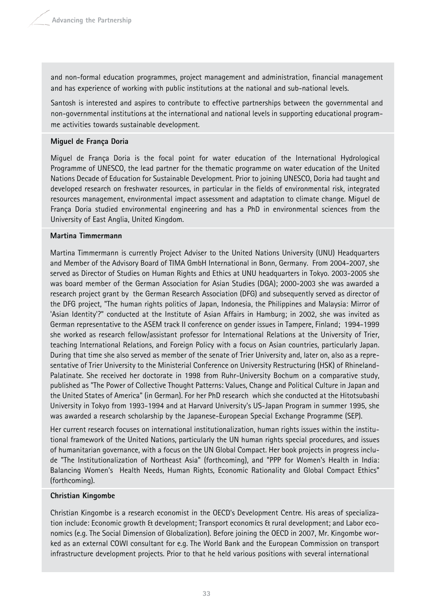and non-formal education programmes, project management and administration, financial management and has experience of working with public institutions at the national and sub-national levels.

Santosh is interested and aspires to contribute to effective partnerships between the governmental and non-governmental institutions at the international and national levels in supporting educational programme activities towards sustainable development.

#### **Miguel de França Doria**

Miguel de França Doria is the focal point for water education of the International Hydrological Programme of UNESCO, the lead partner for the thematic programme on water education of the United Nations Decade of Education for Sustainable Development. Prior to joining UNESCO, Doria had taught and developed research on freshwater resources, in particular in the fields of environmental risk, integrated resources management, environmental impact assessment and adaptation to climate change. Miguel de França Doria studied environmental engineering and has a PhD in environmental sciences from the University of East Anglia, United Kingdom.

#### **Martina Timmermann**

Martina Timmermann is currently Project Adviser to the United Nations University (UNU) Headquarters and Member of the Advisory Board of TIMA GmbH International in Bonn, Germany. From 2004-2007, she served as Director of Studies on Human Rights and Ethics at UNU headquarters in Tokyo. 2003-2005 she was board member of the German Association for Asian Studies (DGA); 2000-2003 she was awarded a research project grant by the German Research Association (DFG) and subsequently served as director of the DFG project, "The human rights politics of Japan, Indonesia, the Philippines and Malaysia: Mirror of 'Asian Identity'?" conducted at the Institute of Asian Affairs in Hamburg; in 2002, she was invited as German representative to the ASEM track II conference on gender issues in Tampere, Finland; 1994-1999 she worked as research fellow/assistant professor for International Relations at the University of Trier, teaching International Relations, and Foreign Policy with a focus on Asian countries, particularly Japan. During that time she also served as member of the senate of Trier University and, later on, also as a representative of Trier University to the Ministerial Conference on University Restructuring (HSK) of Rhineland-Palatinate. She received her doctorate in 1998 from Ruhr-University Bochum on a comparative study, published as "The Power of Collective Thought Patterns: Values, Change and Political Culture in Japan and the United States of America" (in German). For her PhD research which she conducted at the Hitotsubashi University in Tokyo from 1993-1994 and at Harvard University's US-Japan Program in summer 1995, she was awarded a research scholarship by the Japanese-European Special Exchange Programme (SEP).

Her current research focuses on international institutionalization, human rights issues within the institutional framework of the United Nations, particularly the UN human rights special procedures, and issues of humanitarian governance, with a focus on the UN Global Compact. Her book projects in progress include "The Institutionalization of Northeast Asia" (forthcoming), and "PPP for Women's Health in India: Balancing Women's Health Needs, Human Rights, Economic Rationality and Global Compact Ethics" (forthcoming).

#### **Christian Kingombe**

Christian Kingombe is a research economist in the OECD's Development Centre. His areas of specialization include: Economic growth & development; Transport economics & rural development; and Labor economics (e.g. The Social Dimension of Globalization). Before joining the OECD in 2007, Mr. Kingombe worked as an external COWI consultant for e.g. The World Bank and the European Commission on transport infrastructure development projects. Prior to that he held various positions with several international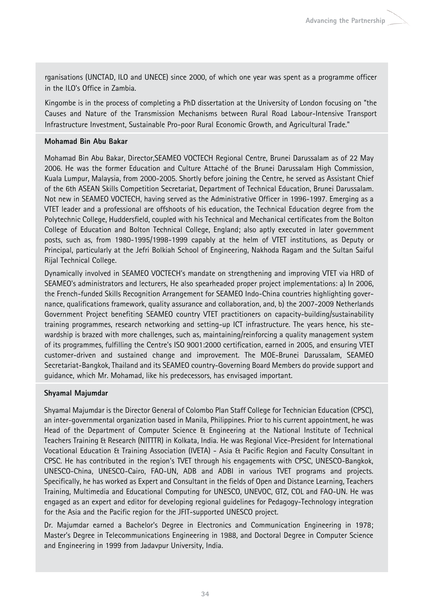rganisations (UNCTAD, ILO and UNECE) since 2000, of which one year was spent as a programme officer in the ILO's Office in Zambia.

Kingombe is in the process of completing a PhD dissertation at the University of London focusing on "the Causes and Nature of the Transmission Mechanisms between Rural Road Labour-Intensive Transport Infrastructure Investment, Sustainable Pro-poor Rural Economic Growth, and Agricultural Trade."

#### **Mohamad Bin Abu Bakar**

Mohamad Bin Abu Bakar, Director,SEAMEO VOCTECH Regional Centre, Brunei Darussalam as of 22 May 2006. He was the former Education and Culture Attaché of the Brunei Darussalam High Commission, Kuala Lumpur, Malaysia, from 2000-2005. Shortly before joining the Centre, he served as Assistant Chief of the 6th ASEAN Skills Competition Secretariat, Department of Technical Education, Brunei Darussalam. Not new in SEAMEO VOCTECH, having served as the Administrative Officer in 1996-1997. Emerging as a VTET leader and a professional are offshoots of his education, the Technical Education degree from the Polytechnic College, Huddersfield, coupled with his Technical and Mechanical certificates from the Bolton College of Education and Bolton Technical College, England; also aptly executed in later government posts, such as, from 1980-1995/1998-1999 capably at the helm of VTET institutions, as Deputy or Principal, particularly at the Jefri Bolkiah School of Engineering, Nakhoda Ragam and the Sultan Saiful Rijal Technical College.

Dynamically involved in SEAMEO VOCTECH's mandate on strengthening and improving VTET via HRD of SEAMEO's administrators and lecturers, He also spearheaded proper project implementations: a) In 2006, the French-funded Skills Recognition Arrangement for SEAMEO Indo-China countries highlighting governance, qualifications framework, quality assurance and collaboration, and, b) the 2007-2009 Netherlands Government Project benefiting SEAMEO country VTET practitioners on capacity-building/sustainability training programmes, research networking and setting-up ICT infrastructure. The years hence, his stewardship is brazed with more challenges, such as, maintaining/reinforcing a quality management system of its programmes, fulfilling the Centre's ISO 9001:2000 certification, earned in 2005, and ensuring VTET customer-driven and sustained change and improvement. The MOE-Brunei Darussalam, SEAMEO Secretariat-Bangkok, Thailand and its SEAMEO country-Governing Board Members do provide support and guidance, which Mr. Mohamad, like his predecessors, has envisaged important.

#### **Shyamal Majumdar**

Shyamal Majumdar is the Director General of Colombo Plan Staff College for Technician Education (CPSC), an inter-governmental organization based in Manila, Philippines. Prior to his current appointment, he was Head of the Department of Computer Science & Engineering at the National Institute of Technical Teachers Training & Research (NITTTR) in Kolkata, India. He was Regional Vice-President for International Vocational Education & Training Association (IVETA) - Asia & Pacific Region and Faculty Consultant in CPSC. He has contributed in the region's TVET through his engagements with CPSC, UNESCO-Bangkok, UNESCO-China, UNESCO-Cairo, FAO-UN, ADB and ADBI in various TVET programs and projects. Specifically, he has worked as Expert and Consultant in the fields of Open and Distance Learning, Teachers Training, Multimedia and Educational Computing for UNESCO, UNEVOC, GTZ, COL and FAO-UN. He was engaged as an expert and editor for developing regional guidelines for Pedagogy-Technology integration for the Asia and the Pacific region for the JFIT-supported UNESCO project.

Dr. Majumdar earned a Bachelor's Degree in Electronics and Communication Engineering in 1978; Master's Degree in Telecommunications Engineering in 1988, and Doctoral Degree in Computer Science and Engineering in 1999 from Jadavpur University, India.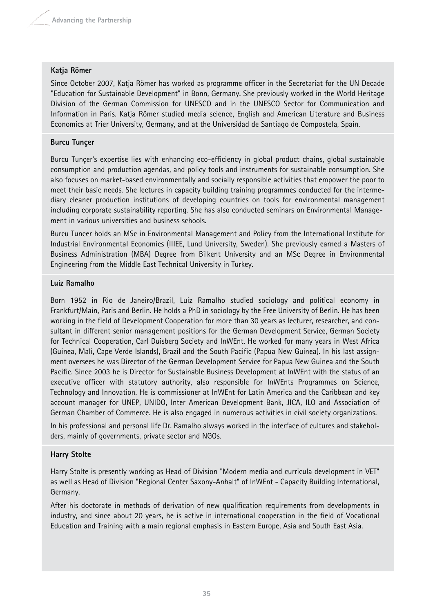#### **Katja Römer**

Since October 2007, Katja Römer has worked as programme officer in the Secretariat for the UN Decade "Education for Sustainable Development" in Bonn, Germany. She previously worked in the World Heritage Division of the German Commission for UNESCO and in the UNESCO Sector for Communication and Information in Paris. Katja Römer studied media science, English and American Literature and Business Economics at Trier University, Germany, and at the Universidad de Santiago de Compostela, Spain.

#### **Burcu Tunçer**

Burcu Tunçer's expertise lies with enhancing eco-efficiency in global product chains, global sustainable consumption and production agendas, and policy tools and instruments for sustainable consumption. She also focuses on market-based environmentally and socially responsible activities that empower the poor to meet their basic needs. She lectures in capacity building training programmes conducted for the intermediary cleaner production institutions of developing countries on tools for environmental management including corporate sustainability reporting. She has also conducted seminars on Environmental Management in various universities and business schools.

Burcu Tuncer holds an MSc in Environmental Management and Policy from the International Institute for Industrial Environmental Economics (IIIEE, Lund University, Sweden). She previously earned a Masters of Business Administration (MBA) Degree from Bilkent University and an MSc Degree in Environmental Engineering from the Middle East Technical University in Turkey.

#### **Luiz Ramalho**

Born 1952 in Rio de Janeiro/Brazil, Luiz Ramalho studied sociology and political economy in Frankfurt/Main, Paris and Berlin. He holds a PhD in sociology by the Free University of Berlin. He has been working in the field of Development Cooperation for more than 30 years as lecturer, researcher, and consultant in different senior management positions for the German Development Service, German Society for Technical Cooperation, Carl Duisberg Society and InWEnt. He worked for many years in West Africa (Guinea, Mali, Cape Verde Islands), Brazil and the South Pacific (Papua New Guinea). In his last assignment oversees he was Director of the German Development Service for Papua New Guinea and the South Pacific. Since 2003 he is Director for Sustainable Business Development at InWEnt with the status of an executive officer with statutory authority, also responsible for InWEnts Programmes on Science, Technology and Innovation. He is commissioner at InWEnt for Latin America and the Caribbean and key account manager for UNEP, UNIDO, Inter American Development Bank, JICA, ILO and Association of German Chamber of Commerce. He is also engaged in numerous activities in civil society organizations.

In his professional and personal life Dr. Ramalho always worked in the interface of cultures and stakeholders, mainly of governments, private sector and NGOs.

#### **Harry Stolte**

Harry Stolte is presently working as Head of Division "Modern media and curricula development in VET" as well as Head of Division "Regional Center Saxony-Anhalt" of InWEnt - Capacity Building International, Germany.

After his doctorate in methods of derivation of new qualification requirements from developments in industry, and since about 20 years, he is active in international cooperation in the field of Vocational Education and Training with a main regional emphasis in Eastern Europe, Asia and South East Asia.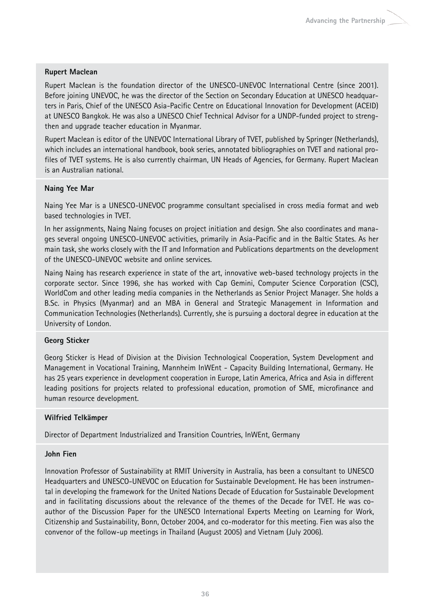#### **Rupert Maclean**

Rupert Maclean is the foundation director of the UNESCO-UNEVOC International Centre (since 2001). Before joining UNEVOC, he was the director of the Section on Secondary Education at UNESCO headquarters in Paris, Chief of the UNESCO Asia-Pacific Centre on Educational Innovation for Development (ACEID) at UNESCO Bangkok. He was also a UNESCO Chief Technical Advisor for a UNDP-funded project to strengthen and upgrade teacher education in Myanmar.

Rupert Maclean is editor of the UNEVOC International Library of TVET, published by Springer (Netherlands), which includes an international handbook, book series, annotated bibliographies on TVET and national profiles of TVET systems. He is also currently chairman, UN Heads of Agencies, for Germany. Rupert Maclean is an Australian national.

#### **Naing Yee Mar**

Naing Yee Mar is a UNESCO-UNEVOC programme consultant specialised in cross media format and web based technologies in TVET.

In her assignments, Naing Naing focuses on project initiation and design. She also coordinates and manages several ongoing UNESCO-UNEVOC activities, primarily in Asia-Pacific and in the Baltic States. As her main task, she works closely with the IT and Information and Publications departments on the development of the UNESCO-UNEVOC website and online services.

Naing Naing has research experience in state of the art, innovative web-based technology projects in the corporate sector. Since 1996, she has worked with Cap Gemini, Computer Science Corporation (CSC), WorldCom and other leading media companies in the Netherlands as Senior Project Manager. She holds a B.Sc. in Physics (Myanmar) and an MBA in General and Strategic Management in Information and Communication Technologies (Netherlands). Currently, she is pursuing a doctoral degree in education at the University of London.

#### **Georg Sticker**

Georg Sticker is Head of Division at the Division Technological Cooperation, System Development and Management in Vocational Training, Mannheim InWEnt - Capacity Building International, Germany. He has 25 years experience in development cooperation in Europe, Latin America, Africa and Asia in different leading positions for projects related to professional education, promotion of SME, microfinance and human resource development.

#### **Wilfried Telkämper**

Director of Department Industrialized and Transition Countries, InWEnt, Germany

#### **John Fien**

Innovation Professor of Sustainability at RMIT University in Australia, has been a consultant to UNESCO Headquarters and UNESCO-UNEVOC on Education for Sustainable Development. He has been instrumental in developing the framework for the United Nations Decade of Education for Sustainable Development and in facilitating discussions about the relevance of the themes of the Decade for TVET. He was coauthor of the Discussion Paper for the UNESCO International Experts Meeting on Learning for Work, Citizenship and Sustainability, Bonn, October 2004, and co-moderator for this meeting. Fien was also the convenor of the follow-up meetings in Thailand (August 2005) and Vietnam (July 2006).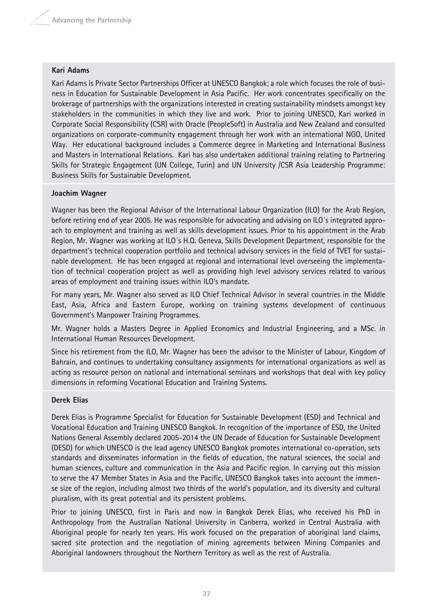#### **Kari Adams**

Kari Adams is Private Sector Partnerships Officer at UNESCO Bangkok; a role which focuses the role of business in Education for Sustainable Development in Asia Pacific. Her work concentrates specifically on the brokerage of partnerships with the organizations interested in creating sustainability mindsets amongst key stakeholders in the communities in which they live and work. Prior to joining UNESCO, Kari worked in Corporate Social Responsibility (CSR) with Oracle (PeopleSoft) in Australia and New Zealand and consulted organizations on corporate-community engagement through her work with an international NGO, United Way. Her educational background includes a Commerce degree in Marketing and International Business and Masters in International Relations. Kari has also undertaken additional training relating to Partnering Skills for Strategic Engagement (UN College, Turin) and UN University /CSR Asia Leadership Programme: Business Skills for Sustainable Development.

#### **Joachim Wagner**

Wagner has been the Regional Advisor of the International Labour Organization (ILO) for the Arab Region, before retiring end of year 2005. He was responsible for advocating and advising on ILO´s integrated approach to employment and training as well as skills development issues. Prior to his appointment in the Arab Region, Mr. Wagner was working at ILO´s H.Q. Geneva, Skills Development Department, responsible for the department's technical cooperation portfolio and technical advisory services in the field of TVET for sustainable development. He has been engaged at regional and international level overseeing the implementation of technical cooperation project as well as providing high level advisory services related to various areas of employment and training issues within ILO's mandate.

For many years, Mr. Wagner also served as ILO Chief Technical Advisor in several countries in the Middle East, Asia, Africa and Eastern Europe, working on training systems development of continuous Government's Manpower Training Programmes.

Mr. Wagner holds a Masters Degree in Applied Economics and Industrial Engineering, and a MSc. in International Human Resources Development.

Since his retirement from the ILO, Mr. Wagner has been the advisor to the Minister of Labour, Kingdom of Bahrain, and continues to undertaking consultancy assignments for international organizations as well as acting as resource person on national and international seminars and workshops that deal with key policy dimensions in reforming Vocational Education and Training Systems.

#### **Derek Elias**

Derek Elias is Programme Specialist for Education for Sustainable Development (ESD) and Technical and Vocational Education and Training UNESCO Bangkok. In recognition of the importance of ESD, the United Nations General Assembly declared 2005-2014 the UN Decade of Education for Sustainable Development (DESD) for which UNESCO is the lead agency UNESCO Bangkok promotes international co-operation, sets standards and disseminates information in the fields of education, the natural sciences, the social and human sciences, culture and communication in the Asia and Pacific region. In carrying out this mission to serve the 47 Member States in Asia and the Pacific, UNESCO Bangkok takes into account the immense size of the region, including almost two thirds of the world's population, and its diversity and cultural pluralism, with its great potential and its persistent problems.

Prior to joining UNESCO, first in Paris and now in Bangkok Derek Elias, who received his PhD in Anthropology from the Australian National University in Canberra, worked in Central Australia with Aboriginal people for nearly ten years. His work focused on the preparation of aboriginal land claims, sacred site protection and the negotiation of mining agreements between Mining Companies and Aboriginal landowners throughout the Northern Territory as well as the rest of Australia.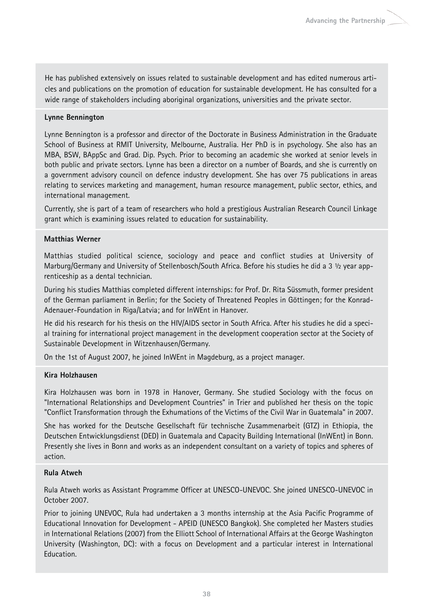He has published extensively on issues related to sustainable development and has edited numerous articles and publications on the promotion of education for sustainable development. He has consulted for a wide range of stakeholders including aboriginal organizations, universities and the private sector.

#### **Lynne Bennington**

Lynne Bennington is a professor and director of the Doctorate in Business Administration in the Graduate School of Business at RMIT University, Melbourne, Australia. Her PhD is in psychology. She also has an MBA, BSW, BAppSc and Grad. Dip. Psych. Prior to becoming an academic she worked at senior levels in both public and private sectors. Lynne has been a director on a number of Boards, and she is currently on a government advisory council on defence industry development. She has over 75 publications in areas relating to services marketing and management, human resource management, public sector, ethics, and international management.

Currently, she is part of a team of researchers who hold a prestigious Australian Research Council Linkage grant which is examining issues related to education for sustainability.

#### **Matthias Werner**

Matthias studied political science, sociology and peace and conflict studies at University of Marburg/Germany and University of Stellenbosch/South Africa. Before his studies he did a 3 ½ year apprenticeship as a dental technician.

During his studies Matthias completed different internships: for Prof. Dr. Rita Süssmuth, former president of the German parliament in Berlin; for the Society of Threatened Peoples in Göttingen; for the Konrad-Adenauer-Foundation in Riga/Latvia; and for InWEnt in Hanover.

He did his research for his thesis on the HIV/AIDS sector in South Africa. After his studies he did a special training for international project management in the development cooperation sector at the Society of Sustainable Development in Witzenhausen/Germany.

On the 1st of August 2007, he joined InWEnt in Magdeburg, as a project manager.

#### **Kira Holzhausen**

Kira Holzhausen was born in 1978 in Hanover, Germany. She studied Sociology with the focus on "International Relationships and Development Countries" in Trier and published her thesis on the topic "Conflict Transformation through the Exhumations of the Victims of the Civil War in Guatemala" in 2007.

She has worked for the Deutsche Gesellschaft für technische Zusammenarbeit (GTZ) in Ethiopia, the Deutschen Entwicklungsdienst (DED) in Guatemala and Capacity Building International (InWEnt) in Bonn. Presently she lives in Bonn and works as an independent consultant on a variety of topics and spheres of action.

#### **Rula Atweh**

Rula Atweh works as Assistant Programme Officer at UNESCO-UNEVOC. She joined UNESCO-UNEVOC in October 2007.

Prior to joining UNEVOC, Rula had undertaken a 3 months internship at the Asia Pacific Programme of Educational Innovation for Development - APEID (UNESCO Bangkok). She completed her Masters studies in International Relations (2007) from the Elliott School of International Affairs at the George Washington University (Washington, DC): with a focus on Development and a particular interest in International Education.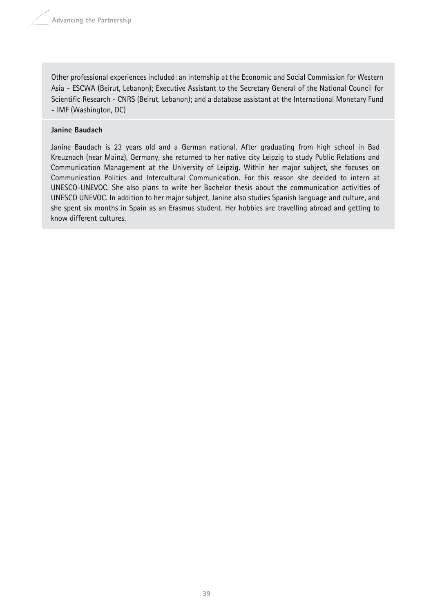Other professional experiences included: an internship at the Economic and Social Commission for Western Asia - ESCWA (Beirut, Lebanon); Executive Assistant to the Secretary General of the National Council for Scientific Research - CNRS (Beirut, Lebanon); and a database assistant at the International Monetary Fund - IMF (Washington, DC)

#### **Janine Baudach**

Janine Baudach is 23 years old and a German national. After graduating from high school in Bad Kreuznach (near Mainz), Germany, she returned to her native city Leipzig to study Public Relations and Communication Management at the University of Leipzig. Within her major subject, she focuses on Communication Politics and Intercultural Communication. For this reason she decided to intern at UNESCO-UNEVOC. She also plans to write her Bachelor thesis about the communication activities of UNESCO UNEVOC. In addition to her major subject, Janine also studies Spanish language and culture, and she spent six months in Spain as an Erasmus student. Her hobbies are travelling abroad and getting to know different cultures.